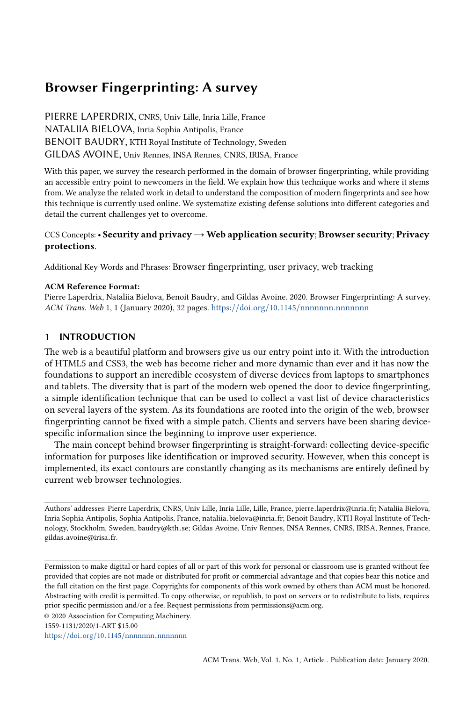# Browser Fingerprinting: A survey

PIERRE LAPERDRIX, CNRS, Univ Lille, Inria Lille, France NATALIIA BIELOVA, Inria Sophia Antipolis, France BENOIT BAUDRY, KTH Royal Institute of Technology, Sweden GILDAS AVOINE, Univ Rennes, INSA Rennes, CNRS, IRISA, France

With this paper, we survey the research performed in the domain of browser fingerprinting, while providing an accessible entry point to newcomers in the field. We explain how this technique works and where it stems from. We analyze the related work in detail to understand the composition of modern fingerprints and see how this technique is currently used online. We systematize existing defense solutions into different categories and detail the current challenges yet to overcome.

# CCS Concepts: • Security and privacy  $\rightarrow$  Web application security; Browser security; Privacy protections.

Additional Key Words and Phrases: Browser fingerprinting, user privacy, web tracking

## ACM Reference Format:

Pierre Laperdrix, Nataliia Bielova, Benoit Baudry, and Gildas Avoine. 2020. Browser Fingerprinting: A survey. ACM Trans. Web 1, 1 (January 2020), [32](#page-31-0) pages. https://doi.org/10.1145/[nnnnnnn](https://doi.org/10.1145/nnnnnnn.nnnnnnn).nnnnnnn

## 1 INTRODUCTION

The web is a beautiful platform and browsers give us our entry point into it. With the introduction of HTML5 and CSS3, the web has become richer and more dynamic than ever and it has now the foundations to support an incredible ecosystem of diverse devices from laptops to smartphones and tablets. The diversity that is part of the modern web opened the door to device fingerprinting, a simple identification technique that can be used to collect a vast list of device characteristics on several layers of the system. As its foundations are rooted into the origin of the web, browser fingerprinting cannot be fixed with a simple patch. Clients and servers have been sharing devicespecific information since the beginning to improve user experience.

The main concept behind browser fingerprinting is straight-forward: collecting device-specific information for purposes like identification or improved security. However, when this concept is implemented, its exact contours are constantly changing as its mechanisms are entirely defined by current web browser technologies.

Authors' addresses: Pierre Laperdrix, CNRS, Univ Lille, Inria Lille, Lille, France, pierre.laperdrix@inria.fr; Nataliia Bielova, Inria Sophia Antipolis, Sophia Antipolis, France, nataliia.bielova@inria.fr; Benoit Baudry, KTH Royal Institute of Technology, Stockholm, Sweden, baudry@kth.se; Gildas Avoine, Univ Rennes, INSA Rennes, CNRS, IRISA, Rennes, France, gildas.avoine@irisa.fr.

Permission to make digital or hard copies of all or part of this work for personal or classroom use is granted without fee provided that copies are not made or distributed for profit or commercial advantage and that copies bear this notice and the full citation on the first page. Copyrights for components of this work owned by others than ACM must be honored. Abstracting with credit is permitted. To copy otherwise, or republish, to post on servers or to redistribute to lists, requires prior specific permission and/or a fee. Request permissions from permissions@acm.org.

© 2020 Association for Computing Machinery.

1559-1131/2020/1-ART \$15.00

https://doi.org/10.1145/[nnnnnnn](https://doi.org/10.1145/nnnnnnn.nnnnnnn).nnnnnnn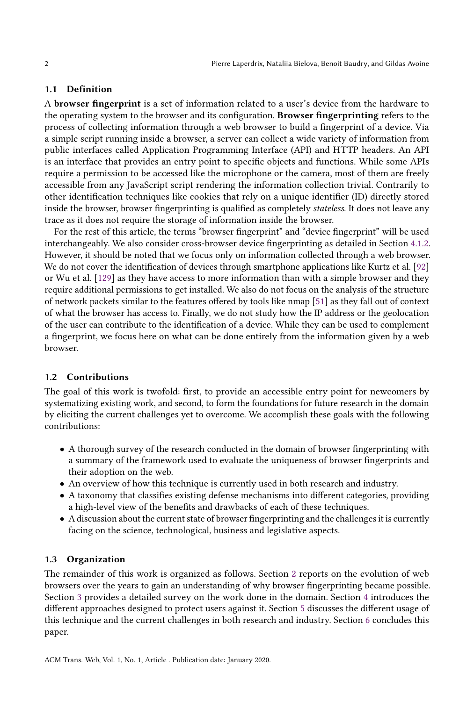## 1.1 Definition

A browser fingerprint is a set of information related to a user's device from the hardware to the operating system to the browser and its configuration. Browser fingerprinting refers to the process of collecting information through a web browser to build a fingerprint of a device. Via a simple script running inside a browser, a server can collect a wide variety of information from public interfaces called Application Programming Interface (API) and HTTP headers. An API is an interface that provides an entry point to specific objects and functions. While some APIs require a permission to be accessed like the microphone or the camera, most of them are freely accessible from any JavaScript script rendering the information collection trivial. Contrarily to other identification techniques like cookies that rely on a unique identifier (ID) directly stored inside the browser, browser fingerprinting is qualified as completely stateless. It does not leave any trace as it does not require the storage of information inside the browser.

For the rest of this article, the terms "browser fingerprint" and "device fingerprint" will be used interchangeably. We also consider cross-browser device fingerprinting as detailed in Section [4.1.2.](#page-17-0) However, it should be noted that we focus only on information collected through a web browser. We do not cover the identification of devices through smartphone applications like Kurtz et al. [\[92\]](#page-29-0) or Wu et al. [\[129\]](#page-31-1) as they have access to more information than with a simple browser and they require additional permissions to get installed. We also do not focus on the analysis of the structure of network packets similar to the features offered by tools like nmap [\[51\]](#page-28-0) as they fall out of context of what the browser has access to. Finally, we do not study how the IP address or the geolocation of the user can contribute to the identification of a device. While they can be used to complement a fingerprint, we focus here on what can be done entirely from the information given by a web browser.

#### 1.2 Contributions

The goal of this work is twofold: first, to provide an accessible entry point for newcomers by systematizing existing work, and second, to form the foundations for future research in the domain by eliciting the current challenges yet to overcome. We accomplish these goals with the following contributions:

- A thorough survey of the research conducted in the domain of browser fingerprinting with a summary of the framework used to evaluate the uniqueness of browser fingerprints and their adoption on the web.
- An overview of how this technique is currently used in both research and industry.
- A taxonomy that classifies existing defense mechanisms into different categories, providing a high-level view of the benefits and drawbacks of each of these techniques.
- A discussion about the current state of browser fingerprinting and the challenges it is currently facing on the science, technological, business and legislative aspects.

## 1.3 Organization

The remainder of this work is organized as follows. Section [2](#page-2-0) reports on the evolution of web browsers over the years to gain an understanding of why browser fingerprinting became possible. Section [3](#page-3-0) provides a detailed survey on the work done in the domain. Section [4](#page-14-0) introduces the different approaches designed to protect users against it. Section [5](#page-21-0) discusses the different usage of this technique and the current challenges in both research and industry. Section [6](#page-26-0) concludes this paper.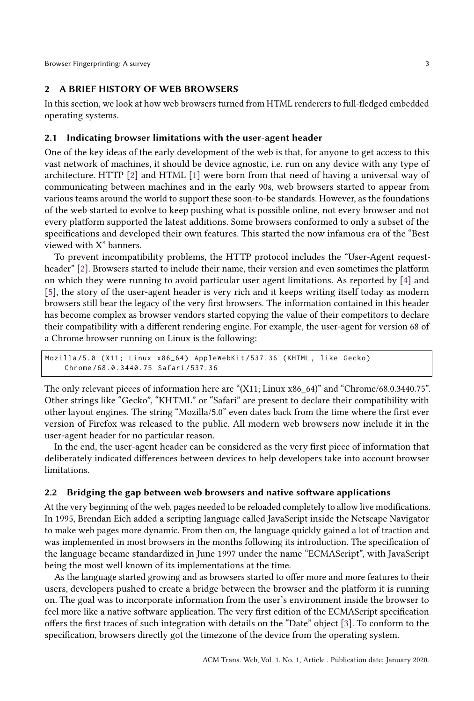Browser Fingerprinting: A survey 3

## <span id="page-2-0"></span>2 A BRIEF HISTORY OF WEB BROWSERS

In this section, we look at how web browsers turned from HTML renderers to full-fledged embedded operating systems.

## 2.1 Indicating browser limitations with the user-agent header

One of the key ideas of the early development of the web is that, for anyone to get access to this vast network of machines, it should be device agnostic, i.e. run on any device with any type of architecture. HTTP [\[2\]](#page-26-1) and HTML [\[1\]](#page-26-2) were born from that need of having a universal way of communicating between machines and in the early 90s, web browsers started to appear from various teams around the world to support these soon-to-be standards. However, as the foundations of the web started to evolve to keep pushing what is possible online, not every browser and not every platform supported the latest additions. Some browsers conformed to only a subset of the specifications and developed their own features. This started the now infamous era of the "Best viewed with X" banners.

To prevent incompatibility problems, the HTTP protocol includes the "User-Agent requestheader" [\[2\]](#page-26-1). Browsers started to include their name, their version and even sometimes the platform on which they were running to avoid particular user agent limitations. As reported by [\[4\]](#page-26-3) and [\[5\]](#page-26-4), the story of the user-agent header is very rich and it keeps writing itself today as modern browsers still bear the legacy of the very first browsers. The information contained in this header has become complex as browser vendors started copying the value of their competitors to declare their compatibility with a different rendering engine. For example, the user-agent for version 68 of a Chrome browser running on Linux is the following:

Mozilla/5.0 (X11; Linux x86\_64) AppleWebKit/537.36 (KHTML, like Gecko) Chrome /68.0.3440.75 Safari /537.36

The only relevant pieces of information here are "(X11; Linux x86\_64)" and "Chrome/68.0.3440.75". Other strings like "Gecko", "KHTML" or "Safari" are present to declare their compatibility with other layout engines. The string "Mozilla/5.0" even dates back from the time where the first ever version of Firefox was released to the public. All modern web browsers now include it in the user-agent header for no particular reason.

In the end, the user-agent header can be considered as the very first piece of information that deliberately indicated differences between devices to help developers take into account browser limitations.

## 2.2 Bridging the gap between web browsers and native software applications

At the very beginning of the web, pages needed to be reloaded completely to allow live modifications. In 1995, Brendan Eich added a scripting language called JavaScript inside the Netscape Navigator to make web pages more dynamic. From then on, the language quickly gained a lot of traction and was implemented in most browsers in the months following its introduction. The specification of the language became standardized in June 1997 under the name "ECMAScript", with JavaScript being the most well known of its implementations at the time.

As the language started growing and as browsers started to offer more and more features to their users, developers pushed to create a bridge between the browser and the platform it is running on. The goal was to incorporate information from the user's environment inside the browser to feel more like a native software application. The very first edition of the ECMAScript specification offers the first traces of such integration with details on the "Date" object [\[3\]](#page-26-5). To conform to the specification, browsers directly got the timezone of the device from the operating system.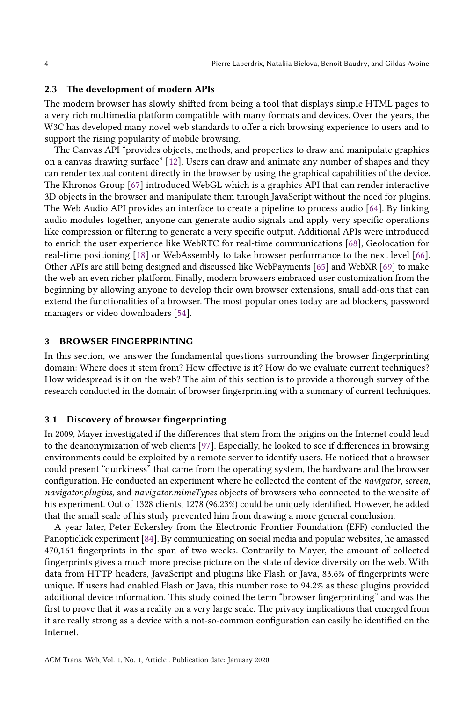## 2.3 The development of modern APIs

The modern browser has slowly shifted from being a tool that displays simple HTML pages to a very rich multimedia platform compatible with many formats and devices. Over the years, the W3C has developed many novel web standards to offer a rich browsing experience to users and to support the rising popularity of mobile browsing.

The Canvas API "provides objects, methods, and properties to draw and manipulate graphics on a canvas drawing surface" [\[12\]](#page-27-0). Users can draw and animate any number of shapes and they can render textual content directly in the browser by using the graphical capabilities of the device. The Khronos Group [\[67\]](#page-28-1) introduced WebGL which is a graphics API that can render interactive 3D objects in the browser and manipulate them through JavaScript without the need for plugins. The Web Audio API provides an interface to create a pipeline to process audio [\[64\]](#page-28-2). By linking audio modules together, anyone can generate audio signals and apply very specific operations like compression or filtering to generate a very specific output. Additional APIs were introduced to enrich the user experience like WebRTC for real-time communications [\[68\]](#page-28-3), Geolocation for real-time positioning [\[18\]](#page-27-1) or WebAssembly to take browser performance to the next level [\[66\]](#page-28-4). Other APIs are still being designed and discussed like WebPayments [\[65\]](#page-28-5) and WebXR [\[69\]](#page-28-6) to make the web an even richer platform. Finally, modern browsers embraced user customization from the beginning by allowing anyone to develop their own browser extensions, small add-ons that can extend the functionalities of a browser. The most popular ones today are ad blockers, password managers or video downloaders [\[54\]](#page-28-7).

## <span id="page-3-0"></span>3 BROWSER FINGERPRINTING

In this section, we answer the fundamental questions surrounding the browser fingerprinting domain: Where does it stem from? How effective is it? How do we evaluate current techniques? How widespread is it on the web? The aim of this section is to provide a thorough survey of the research conducted in the domain of browser fingerprinting with a summary of current techniques.

#### <span id="page-3-1"></span>3.1 Discovery of browser fingerprinting

In 2009, Mayer investigated if the differences that stem from the origins on the Internet could lead to the deanonymization of web clients [\[97\]](#page-29-1). Especially, he looked to see if differences in browsing environments could be exploited by a remote server to identify users. He noticed that a browser could present "quirkiness" that came from the operating system, the hardware and the browser configuration. He conducted an experiment where he collected the content of the navigator, screen, navigator.plugins, and navigator.mimeTypes objects of browsers who connected to the website of his experiment. Out of 1328 clients, 1278 (96.23%) could be uniquely identified. However, he added that the small scale of his study prevented him from drawing a more general conclusion.

A year later, Peter Eckersley from the Electronic Frontier Foundation (EFF) conducted the Panopticlick experiment [\[84\]](#page-29-2). By communicating on social media and popular websites, he amassed 470,161 fingerprints in the span of two weeks. Contrarily to Mayer, the amount of collected fingerprints gives a much more precise picture on the state of device diversity on the web. With data from HTTP headers, JavaScript and plugins like Flash or Java, 83.6% of fingerprints were unique. If users had enabled Flash or Java, this number rose to 94.2% as these plugins provided additional device information. This study coined the term "browser fingerprinting" and was the first to prove that it was a reality on a very large scale. The privacy implications that emerged from it are really strong as a device with a not-so-common configuration can easily be identified on the Internet.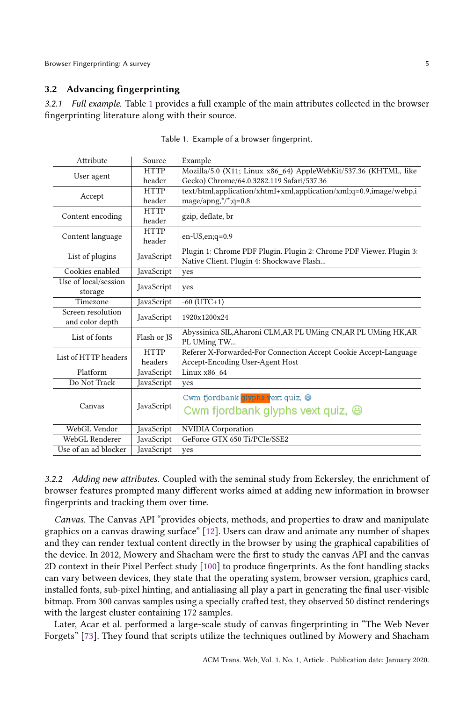## 3.2 Advancing fingerprinting

<span id="page-4-0"></span>3.2.1 Full example. Table [1](#page-4-0) provides a full example of the main attributes collected in the browser fingerprinting literature along with their source.

| Attribute                          | Source      | Example                                                             |  |  |
|------------------------------------|-------------|---------------------------------------------------------------------|--|--|
|                                    | <b>HTTP</b> | Mozilla/5.0 (X11; Linux x86_64) AppleWebKit/537.36 (KHTML, like     |  |  |
| User agent                         | header      | Gecko) Chrome/64.0.3282.119 Safari/537.36                           |  |  |
|                                    | <b>HTTP</b> | text/html,application/xhtml+xml,application/xml;q=0.9,image/webp,i  |  |  |
| Accept                             | header      | mage/apng,*/*;q=0.8                                                 |  |  |
|                                    | <b>HTTP</b> |                                                                     |  |  |
| Content encoding                   | header      | gzip, deflate, br                                                   |  |  |
|                                    | <b>HTTP</b> |                                                                     |  |  |
| Content language                   | header      | $en$ -US, $en$ ; $q$ =0.9                                           |  |  |
| List of plugins                    |             | Plugin 1: Chrome PDF Plugin. Plugin 2: Chrome PDF Viewer. Plugin 3: |  |  |
|                                    | JavaScript  | Native Client. Plugin 4: Shockwave Flash                            |  |  |
| Cookies enabled                    | JavaScript  | yes                                                                 |  |  |
| Use of local/session               | JavaScript  |                                                                     |  |  |
| storage                            |             | yes                                                                 |  |  |
| Timezone                           | JavaScript  | $-60$ (UTC+1)                                                       |  |  |
| Screen resolution                  | JavaScript  | 1920x1200x24                                                        |  |  |
| and color depth                    |             |                                                                     |  |  |
| List of fonts                      | Flash or JS | Abyssinica SIL, Aharoni CLM, AR PL UMing CN, AR PL UMing HK, AR     |  |  |
|                                    |             | PL UMing TW                                                         |  |  |
| List of HTTP headers               | <b>HTTP</b> | Referer X-Forwarded-For Connection Accept Cookie Accept-Language    |  |  |
|                                    | headers     | Accept-Encoding User-Agent Host                                     |  |  |
| Platform                           | JavaScript  | Linux x86 64                                                        |  |  |
| Do Not Track                       | JavaScript  | yes                                                                 |  |  |
| Canvas                             | JavaScript  | Cwm fjordbank glyphs vext quiz, @                                   |  |  |
|                                    |             |                                                                     |  |  |
|                                    |             | Cwm fjordbank glyphs vext quiz, $\oplus$                            |  |  |
| WebGL Vendor                       | JavaScript  | <b>NVIDIA</b> Corporation                                           |  |  |
| WebGL Renderer                     | JavaScript  | GeForce GTX 650 Ti/PCIe/SSE2                                        |  |  |
| Use of an ad blocker<br>JavaScript |             | yes                                                                 |  |  |
|                                    |             |                                                                     |  |  |

Table 1. Example of a browser fingerprint.

3.2.2 Adding new attributes. Coupled with the seminal study from Eckersley, the enrichment of browser features prompted many different works aimed at adding new information in browser fingerprints and tracking them over time.

Canvas. The Canvas API "provides objects, methods, and properties to draw and manipulate graphics on a canvas drawing surface" [\[12\]](#page-27-0). Users can draw and animate any number of shapes and they can render textual content directly in the browser by using the graphical capabilities of the device. In 2012, Mowery and Shacham were the first to study the canvas API and the canvas 2D context in their Pixel Perfect study [\[100\]](#page-29-3) to produce fingerprints. As the font handling stacks can vary between devices, they state that the operating system, browser version, graphics card, installed fonts, sub-pixel hinting, and antialiasing all play a part in generating the final user-visible bitmap. From 300 canvas samples using a specially crafted test, they observed 50 distinct renderings with the largest cluster containing 172 samples.

Later, Acar et al. performed a large-scale study of canvas fingerprinting in "The Web Never Forgets" [\[73\]](#page-28-8). They found that scripts utilize the techniques outlined by Mowery and Shacham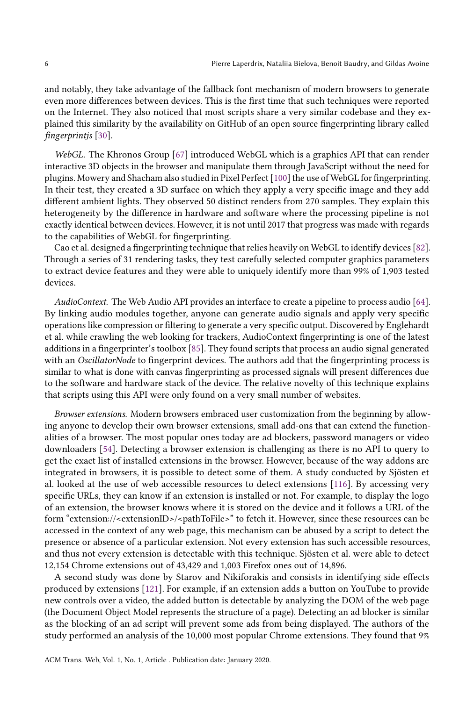and notably, they take advantage of the fallback font mechanism of modern browsers to generate even more differences between devices. This is the first time that such techniques were reported on the Internet. They also noticed that most scripts share a very similar codebase and they explained this similarity by the availability on GitHub of an open source fingerprinting library called fingerprintjs [\[30\]](#page-27-2).

WebGL. The Khronos Group [\[67\]](#page-28-1) introduced WebGL which is a graphics API that can render interactive 3D objects in the browser and manipulate them through JavaScript without the need for plugins. Mowery and Shacham also studied in Pixel Perfect [\[100\]](#page-29-3) the use of WebGL for fingerprinting. In their test, they created a 3D surface on which they apply a very specific image and they add different ambient lights. They observed 50 distinct renders from 270 samples. They explain this heterogeneity by the difference in hardware and software where the processing pipeline is not exactly identical between devices. However, it is not until 2017 that progress was made with regards to the capabilities of WebGL for fingerprinting.

Cao et al. designed a fingerprinting technique that relies heavily on WebGL to identify devices [\[82\]](#page-29-4). Through a series of 31 rendering tasks, they test carefully selected computer graphics parameters to extract device features and they were able to uniquely identify more than 99% of 1,903 tested devices.

AudioContext. The Web Audio API provides an interface to create a pipeline to process audio [\[64\]](#page-28-2). By linking audio modules together, anyone can generate audio signals and apply very specific operations like compression or filtering to generate a very specific output. Discovered by Englehardt et al. while crawling the web looking for trackers, AudioContext fingerprinting is one of the latest additions in a fingerprinter's toolbox [\[85\]](#page-29-5). They found scripts that process an audio signal generated with an *OscillatorNode* to fingerprint devices. The authors add that the fingerprinting process is similar to what is done with canvas fingerprinting as processed signals will present differences due to the software and hardware stack of the device. The relative novelty of this technique explains that scripts using this API were only found on a very small number of websites.

Browser extensions. Modern browsers embraced user customization from the beginning by allowing anyone to develop their own browser extensions, small add-ons that can extend the functionalities of a browser. The most popular ones today are ad blockers, password managers or video downloaders [\[54\]](#page-28-7). Detecting a browser extension is challenging as there is no API to query to get the exact list of installed extensions in the browser. However, because of the way addons are integrated in browsers, it is possible to detect some of them. A study conducted by Sjösten et al. looked at the use of web accessible resources to detect extensions [\[116\]](#page-30-0). By accessing very specific URLs, they can know if an extension is installed or not. For example, to display the logo of an extension, the browser knows where it is stored on the device and it follows a URL of the form "extension://<extensionID>/<pathToFile>" to fetch it. However, since these resources can be accessed in the context of any web page, this mechanism can be abused by a script to detect the presence or absence of a particular extension. Not every extension has such accessible resources, and thus not every extension is detectable with this technique. Sjösten et al. were able to detect 12,154 Chrome extensions out of 43,429 and 1,003 Firefox ones out of 14,896.

A second study was done by Starov and Nikiforakis and consists in identifying side effects produced by extensions [\[121\]](#page-30-1). For example, if an extension adds a button on YouTube to provide new controls over a video, the added button is detectable by analyzing the DOM of the web page (the Document Object Model represents the structure of a page). Detecting an ad blocker is similar as the blocking of an ad script will prevent some ads from being displayed. The authors of the study performed an analysis of the 10,000 most popular Chrome extensions. They found that 9%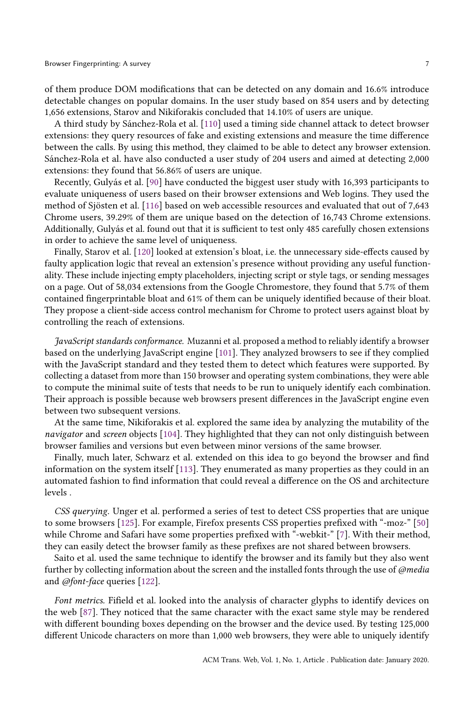of them produce DOM modifications that can be detected on any domain and 16.6% introduce detectable changes on popular domains. In the user study based on 854 users and by detecting 1,656 extensions, Starov and Nikiforakis concluded that 14.10% of users are unique.

A third study by Sánchez-Rola et al. [\[110\]](#page-30-2) used a timing side channel attack to detect browser extensions: they query resources of fake and existing extensions and measure the time difference between the calls. By using this method, they claimed to be able to detect any browser extension. Sánchez-Rola et al. have also conducted a user study of 204 users and aimed at detecting 2,000 extensions: they found that 56.86% of users are unique.

Recently, Gulyás et al. [\[90\]](#page-29-6) have conducted the biggest user study with 16,393 participants to evaluate uniqueness of users based on their browser extensions and Web logins. They used the method of Sjösten et al. [\[116\]](#page-30-0) based on web accessible resources and evaluated that out of 7,643 Chrome users, 39.29% of them are unique based on the detection of 16,743 Chrome extensions. Additionally, Gulyás et al. found out that it is sufficient to test only 485 carefully chosen extensions in order to achieve the same level of uniqueness.

Finally, Starov et al. [\[120\]](#page-30-3) looked at extension's bloat, i.e. the unnecessary side-effects caused by faulty application logic that reveal an extension's presence without providing any useful functionality. These include injecting empty placeholders, injecting script or style tags, or sending messages on a page. Out of 58,034 extensions from the Google Chromestore, they found that 5.7% of them contained fingerprintable bloat and 61% of them can be uniquely identified because of their bloat. They propose a client-side access control mechanism for Chrome to protect users against bloat by controlling the reach of extensions.

JavaScript standards conformance. Muzanni et al. proposed a method to reliably identify a browser based on the underlying JavaScript engine [\[101\]](#page-29-7). They analyzed browsers to see if they complied with the JavaScript standard and they tested them to detect which features were supported. By collecting a dataset from more than 150 browser and operating system combinations, they were able to compute the minimal suite of tests that needs to be run to uniquely identify each combination. Their approach is possible because web browsers present differences in the JavaScript engine even between two subsequent versions.

At the same time, Nikiforakis et al. explored the same idea by analyzing the mutability of the navigator and screen objects [\[104\]](#page-30-4). They highlighted that they can not only distinguish between browser families and versions but even between minor versions of the same browser.

Finally, much later, Schwarz et al. extended on this idea to go beyond the browser and find information on the system itself [\[113\]](#page-30-5). They enumerated as many properties as they could in an automated fashion to find information that could reveal a difference on the OS and architecture levels .

CSS querying. Unger et al. performed a series of test to detect CSS properties that are unique to some browsers [\[125\]](#page-31-2). For example, Firefox presents CSS properties prefixed with "-moz-" [\[50\]](#page-28-9) while Chrome and Safari have some properties prefixed with "-webkit-" [\[7\]](#page-26-6). With their method, they can easily detect the browser family as these prefixes are not shared between browsers.

Saito et al. used the same technique to identify the browser and its family but they also went further by collecting information about the screen and the installed fonts through the use of @media and @font-face queries [\[122\]](#page-30-6).

Font metrics. Fifield et al. looked into the analysis of character glyphs to identify devices on the web [\[87\]](#page-29-8). They noticed that the same character with the exact same style may be rendered with different bounding boxes depending on the browser and the device used. By testing 125,000 different Unicode characters on more than 1,000 web browsers, they were able to uniquely identify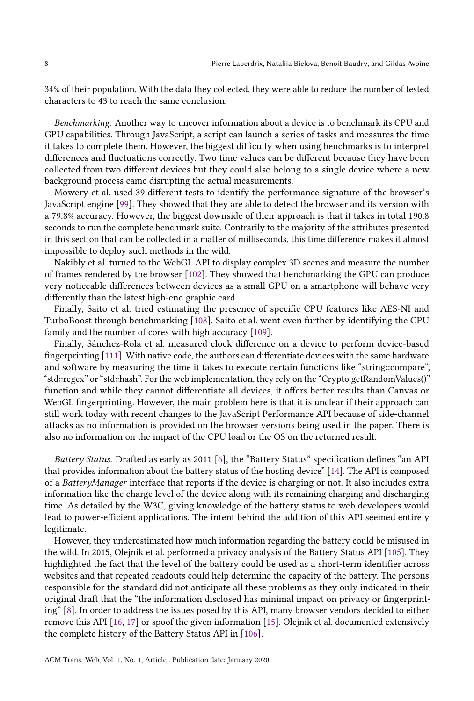34% of their population. With the data they collected, they were able to reduce the number of tested characters to 43 to reach the same conclusion.

Benchmarking. Another way to uncover information about a device is to benchmark its CPU and GPU capabilities. Through JavaScript, a script can launch a series of tasks and measures the time it takes to complete them. However, the biggest difficulty when using benchmarks is to interpret differences and fluctuations correctly. Two time values can be different because they have been collected from two different devices but they could also belong to a single device where a new background process came disrupting the actual measurements.

Mowery et al. used 39 different tests to identify the performance signature of the browser's JavaScript engine [\[99\]](#page-29-9). They showed that they are able to detect the browser and its version with a 79.8% accuracy. However, the biggest downside of their approach is that it takes in total 190.8 seconds to run the complete benchmark suite. Contrarily to the majority of the attributes presented in this section that can be collected in a matter of milliseconds, this time difference makes it almost impossible to deploy such methods in the wild.

Nakibly et al. turned to the WebGL API to display complex 3D scenes and measure the number of frames rendered by the browser [\[102\]](#page-30-7). They showed that benchmarking the GPU can produce very noticeable differences between devices as a small GPU on a smartphone will behave very differently than the latest high-end graphic card.

Finally, Saito et al. tried estimating the presence of specific CPU features like AES-NI and TurboBoost through benchmarking [\[108\]](#page-30-8). Saito et al. went even further by identifying the CPU family and the number of cores with high accuracy [\[109\]](#page-30-9).

Finally, Sánchez-Rola et al. measured clock difference on a device to perform device-based fingerprinting [\[111\]](#page-30-10). With native code, the authors can differentiate devices with the same hardware and software by measuring the time it takes to execute certain functions like "string::compare", "std::regex" or "std::hash". For the web implementation, they rely on the "Crypto.getRandomValues()" function and while they cannot differentiate all devices, it offers better results than Canvas or WebGL fingerprinting. However, the main problem here is that it is unclear if their approach can still work today with recent changes to the JavaScript Performance API because of side-channel attacks as no information is provided on the browser versions being used in the paper. There is also no information on the impact of the CPU load or the OS on the returned result.

Battery Status. Drafted as early as 2011 [\[6\]](#page-26-7), the "Battery Status" specification defines "an API that provides information about the battery status of the hosting device" [\[14\]](#page-27-3). The API is composed of a BatteryManager interface that reports if the device is charging or not. It also includes extra information like the charge level of the device along with its remaining charging and discharging time. As detailed by the W3C, giving knowledge of the battery status to web developers would lead to power-efficient applications. The intent behind the addition of this API seemed entirely legitimate.

However, they underestimated how much information regarding the battery could be misused in the wild. In 2015, Olejnik et al. performed a privacy analysis of the Battery Status API [\[105\]](#page-30-11). They highlighted the fact that the level of the battery could be used as a short-term identifier across websites and that repeated readouts could help determine the capacity of the battery. The persons responsible for the standard did not anticipate all these problems as they only indicated in their original draft that the "the information disclosed has minimal impact on privacy or fingerprinting" [\[8\]](#page-26-8). In order to address the issues posed by this API, many browser vendors decided to either remove this API [\[16,](#page-27-4) [17\]](#page-27-5) or spoof the given information [\[15\]](#page-27-6). Olejnik et al. documented extensively the complete history of the Battery Status API in [\[106\]](#page-30-12).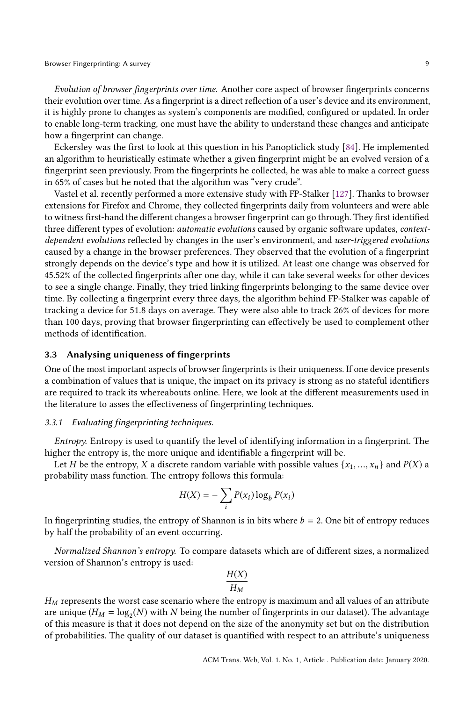Evolution of browser fingerprints over time. Another core aspect of browser fingerprints concerns their evolution over time. As a fingerprint is a direct reflection of a user's device and its environment, it is highly prone to changes as system's components are modified, configured or updated. In order to enable long-term tracking, one must have the ability to understand these changes and anticipate how a fingerprint can change.

Eckersley was the first to look at this question in his Panopticlick study [\[84\]](#page-29-2). He implemented an algorithm to heuristically estimate whether a given fingerprint might be an evolved version of a fingerprint seen previously. From the fingerprints he collected, he was able to make a correct guess in 65% of cases but he noted that the algorithm was "very crude".

Vastel et al. recently performed a more extensive study with FP-Stalker [\[127\]](#page-31-3). Thanks to browser extensions for Firefox and Chrome, they collected fingerprints daily from volunteers and were able to witness first-hand the different changes a browser fingerprint can go through. They first identified three different types of evolution: automatic evolutions caused by organic software updates, contextdependent evolutions reflected by changes in the user's environment, and user-triggered evolutions caused by a change in the browser preferences. They observed that the evolution of a fingerprint strongly depends on the device's type and how it is utilized. At least one change was observed for 45.52% of the collected fingerprints after one day, while it can take several weeks for other devices to see a single change. Finally, they tried linking fingerprints belonging to the same device over time. By collecting a fingerprint every three days, the algorithm behind FP-Stalker was capable of tracking a device for 51.8 days on average. They were also able to track 26% of devices for more than 100 days, proving that browser fingerprinting can effectively be used to complement other methods of identification.

## 3.3 Analysing uniqueness of fingerprints

One of the most important aspects of browser fingerprints is their uniqueness. If one device presents a combination of values that is unique, the impact on its privacy is strong as no stateful identifiers are required to track its whereabouts online. Here, we look at the different measurements used in the literature to asses the effectiveness of fingerprinting techniques.

## 3.3.1 Evaluating fingerprinting techniques.

Entropy. Entropy is used to quantify the level of identifying information in a fingerprint. The higher the entropy is, the more unique and identifiable a fingerprint will be.

Let H be the entropy, X a discrete random variable with possible values  $\{x_1, ..., x_n\}$  and  $P(X)$  a probability mass function. The entropy follows this formula:

$$
H(X) = -\sum_{i} P(x_i) \log_b P(x_i)
$$

In fingerprinting studies, the entropy of Shannon is in bits where  $b = 2$ . One bit of entropy reduces by half the probability of an event occurring.

Normalized Shannon's entropy. To compare datasets which are of different sizes, a normalized version of Shannon's entropy is used:

$$
\frac{H(X)}{H_M}
$$

 $H_M$  represents the worst case scenario where the entropy is maximum and all values of an attribute are unique ( $H_M = \log_2(N)$  with N being the number of fingerprints in our dataset). The advantage of this measure is that it does not depend on the size of the anonymity set but on the distribution of probabilities. The quality of our dataset is quantified with respect to an attribute's uniqueness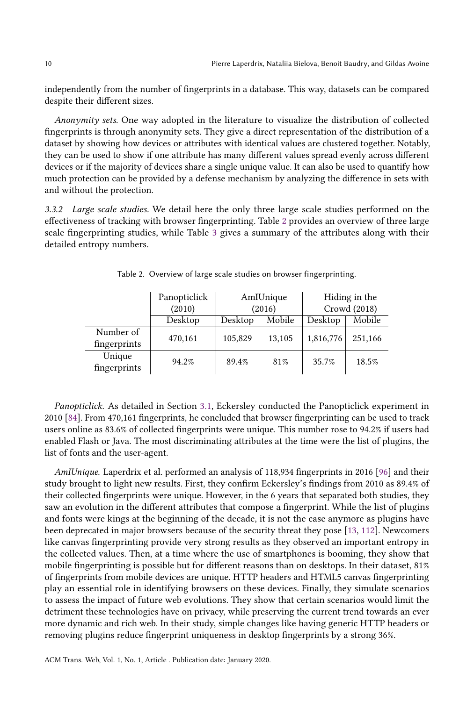independently from the number of fingerprints in a database. This way, datasets can be compared despite their different sizes.

Anonymity sets. One way adopted in the literature to visualize the distribution of collected fingerprints is through anonymity sets. They give a direct representation of the distribution of a dataset by showing how devices or attributes with identical values are clustered together. Notably, they can be used to show if one attribute has many different values spread evenly across different devices or if the majority of devices share a single unique value. It can also be used to quantify how much protection can be provided by a defense mechanism by analyzing the difference in sets with and without the protection.

3.3.2 Large scale studies. We detail here the only three large scale studies performed on the effectiveness of tracking with browser fingerprinting. Table [2](#page-9-0) provides an overview of three large scale fingerprinting studies, while Table [3](#page-10-0) gives a summary of the attributes along with their detailed entropy numbers.

<span id="page-9-0"></span>

|                           | Panopticlick | AmIUnique |        | Hiding in the |         |
|---------------------------|--------------|-----------|--------|---------------|---------|
|                           | (2010)       | (2016)    |        | Crowd (2018)  |         |
|                           | Desktop      | Desktop   | Mobile | Desktop       | Mobile  |
| Number of<br>fingerprints | 470,161      | 105,829   | 13,105 | 1,816,776     | 251,166 |
| Unique<br>fingerprints    | 94.2%        | 89.4%     | 81%    | 35.7%         | 18.5%   |

Table 2. Overview of large scale studies on browser fingerprinting.

Panopticlick. As detailed in Section [3.1,](#page-3-1) Eckersley conducted the Panopticlick experiment in 2010 [\[84\]](#page-29-2). From 470,161 fingerprints, he concluded that browser fingerprinting can be used to track users online as 83.6% of collected fingerprints were unique. This number rose to 94.2% if users had enabled Flash or Java. The most discriminating attributes at the time were the list of plugins, the list of fonts and the user-agent.

AmIUnique. Laperdrix et al. performed an analysis of 118,934 fingerprints in 2016 [\[96\]](#page-29-10) and their study brought to light new results. First, they confirm Eckersley's findings from 2010 as 89.4% of their collected fingerprints were unique. However, in the 6 years that separated both studies, they saw an evolution in the different attributes that compose a fingerprint. While the list of plugins and fonts were kings at the beginning of the decade, it is not the case anymore as plugins have been deprecated in major browsers because of the security threat they pose [\[13,](#page-27-7) [112\]](#page-30-13). Newcomers like canvas fingerprinting provide very strong results as they observed an important entropy in the collected values. Then, at a time where the use of smartphones is booming, they show that mobile fingerprinting is possible but for different reasons than on desktops. In their dataset, 81% of fingerprints from mobile devices are unique. HTTP headers and HTML5 canvas fingerprinting play an essential role in identifying browsers on these devices. Finally, they simulate scenarios to assess the impact of future web evolutions. They show that certain scenarios would limit the detriment these technologies have on privacy, while preserving the current trend towards an ever more dynamic and rich web. In their study, simple changes like having generic HTTP headers or removing plugins reduce fingerprint uniqueness in desktop fingerprints by a strong 36%.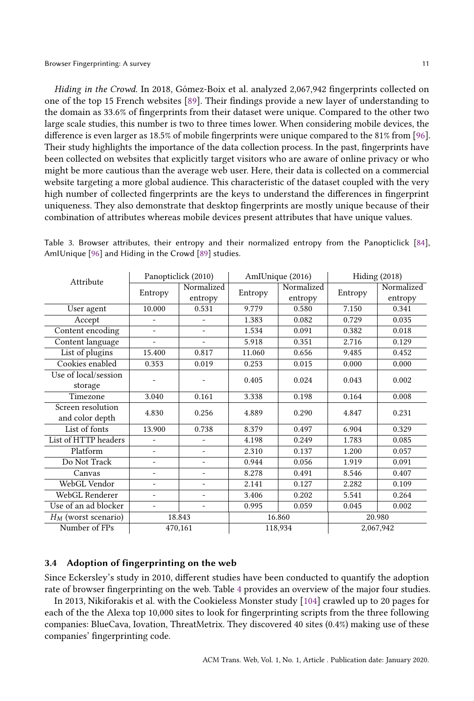Hiding in the Crowd. In 2018, Gómez-Boix et al. analyzed 2,067,942 fingerprints collected on one of the top 15 French websites [\[89\]](#page-29-11). Their findings provide a new layer of understanding to the domain as 33.6% of fingerprints from their dataset were unique. Compared to the other two large scale studies, this number is two to three times lower. When considering mobile devices, the difference is even larger as 18.5% of mobile fingerprints were unique compared to the 81% from [\[96\]](#page-29-10). Their study highlights the importance of the data collection process. In the past, fingerprints have been collected on websites that explicitly target visitors who are aware of online privacy or who might be more cautious than the average web user. Here, their data is collected on a commercial website targeting a more global audience. This characteristic of the dataset coupled with the very high number of collected fingerprints are the keys to understand the differences in fingerprint uniqueness. They also demonstrate that desktop fingerprints are mostly unique because of their combination of attributes whereas mobile devices present attributes that have unique values.

| Attribute              |                          | Panopticlick (2010)          | AmIUnique (2016) |            | Hiding $(2018)$ |            |
|------------------------|--------------------------|------------------------------|------------------|------------|-----------------|------------|
|                        |                          | Normalized                   |                  | Normalized |                 | Normalized |
|                        | Entropy                  | entropy                      | Entropy          | entropy    | Entropy         | entropy    |
| User agent             | 10.000                   | 0.531                        | 9.779            | 0.580      | 7.150           | 0.341      |
| Accept                 |                          | $\qquad \qquad \blacksquare$ | 1.383            | 0.082      | 0.729           | 0.035      |
| Content encoding       | $\equiv$                 | ۰                            | 1.534            | 0.091      | 0.382           | 0.018      |
| Content language       | $\overline{\phantom{a}}$ | $\overline{a}$               | 5.918            | 0.351      | 2.716           | 0.129      |
| List of plugins        | 15.400                   | 0.817                        | 11.060           | 0.656      | 9.485           | 0.452      |
| Cookies enabled        | 0.353                    | 0.019                        | 0.253            | 0.015      | 0.000           | 0.000      |
| Use of local/session   |                          |                              | 0.405            | 0.024      | 0.043           | 0.002      |
| storage                |                          |                              |                  |            |                 |            |
| Timezone               | 3.040                    | 0.161                        | 3.338            | 0.198      | 0.164           | 0.008      |
| Screen resolution      | 4.830                    | 0.256                        | 4.889            | 0.290      | 4.847           | 0.231      |
| and color depth        |                          |                              |                  |            |                 |            |
| List of fonts          | 13.900                   | 0.738                        | 8.379            | 0.497      | 6.904           | 0.329      |
| List of HTTP headers   | $\overline{\phantom{0}}$ | $\qquad \qquad -$            | 4.198            | 0.249      | 1.783           | 0.085      |
| Platform               | $\overline{\phantom{0}}$ | $\overline{\phantom{m}}$     | 2.310            | 0.137      | 1.200           | 0.057      |
| Do Not Track           | ٠                        | $\overline{\phantom{m}}$     | 0.944            | 0.056      | 1.919           | 0.091      |
| Canvas                 |                          | $\qquad \qquad -$            | 8.278            | 0.491      | 8.546           | 0.407      |
| WebGL Vendor           |                          |                              | 2.141            | 0.127      | 2.282           | 0.109      |
| WebGL Renderer         | ٠                        | ٠                            | 3.406            | 0.202      | 5.541           | 0.264      |
| Use of an ad blocker   | -                        |                              | 0.995            | 0.059      | 0.045           | 0.002      |
| $H_M$ (worst scenario) | 18.843                   |                              | 16.860           |            | 20.980          |            |
| Number of FPs          | 470,161                  |                              | 118,934          |            | 2,067,942       |            |

<span id="page-10-0"></span>Table 3. Browser attributes, their entropy and their normalized entropy from the Panopticlick [\[84\]](#page-29-2), AmIUnique [\[96\]](#page-29-10) and Hiding in the Crowd [\[89\]](#page-29-11) studies.

## <span id="page-10-1"></span>3.4 Adoption of fingerprinting on the web

Since Eckersley's study in 2010, different studies have been conducted to quantify the adoption rate of browser fingerprinting on the web. Table [4](#page-11-0) provides an overview of the major four studies.

In 2013, Nikiforakis et al. with the Cookieless Monster study [\[104\]](#page-30-4) crawled up to 20 pages for each of the the Alexa top 10,000 sites to look for fingerprinting scripts from the three following companies: BlueCava, Iovation, ThreatMetrix. They discovered 40 sites (0.4%) making use of these companies' fingerprinting code.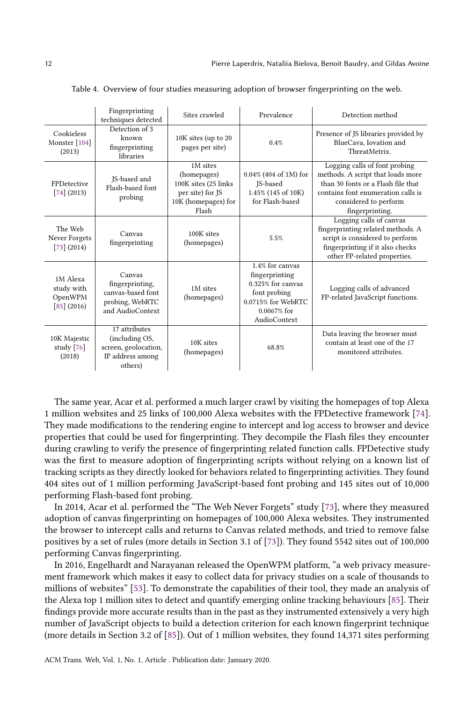<span id="page-11-0"></span>

|                                                    | Fingerprinting<br>techniques detected                                                  | Sites crawled                                                                                       | Prevalence                                                                                                                    | Detection method                                                                                                                                                                           |
|----------------------------------------------------|----------------------------------------------------------------------------------------|-----------------------------------------------------------------------------------------------------|-------------------------------------------------------------------------------------------------------------------------------|--------------------------------------------------------------------------------------------------------------------------------------------------------------------------------------------|
| Cookieless<br>Monster [104]<br>(2013)              | Detection of 3<br>known<br>fingerprinting<br>libraries                                 | 10K sites (up to 20<br>pages per site)                                                              | 0.4%                                                                                                                          | Presence of JS libraries provided by<br>BlueCava, Iovation and<br>ThreatMetrix.                                                                                                            |
| FPDetective<br>[74] (2013)                         | JS-based and<br>Flash-based font<br>probing                                            | 1M sites<br>(homepages)<br>100K sites (25 links<br>per site) for JS<br>10K (homepages) for<br>Flash | 0.04% (404 of 1M) for<br>JS-based<br>1.45% (145 of 10K)<br>for Flash-based                                                    | Logging calls of font probing<br>methods. A script that loads more<br>than 30 fonts or a Flash file that<br>contains font enumeration calls is<br>considered to perform<br>fingerprinting. |
| The Web<br>Never Forgets<br>[73] (2014)            | Canvas<br>fingerprinting                                                               | 100K sites<br>(homepages)                                                                           | 5.5%                                                                                                                          | Logging calls of canvas<br>fingerprinting related methods. A<br>script is considered to perform<br>fingerprinting if it also checks<br>other FP-related properties.                        |
| 1M Alexa<br>study with<br>OpenWPM<br>$[85]$ (2016) | Canvas<br>fingerprinting,<br>canvas-based font<br>probing, WebRTC<br>and AudioContext  | 1M sites<br>(homepages)                                                                             | 1.4% for canvas<br>fingerprinting<br>0.325% for canvas<br>font probing<br>0.0715% for WebRTC<br>$0.0067%$ for<br>AudioContext | Logging calls of advanced<br>FP-related JavaScript functions.                                                                                                                              |
| 10K Majestic<br>study [76]<br>(2018)               | 17 attributes<br>(including OS,<br>screen, geolocation,<br>IP address among<br>others) | 10K sites<br>(homepages)                                                                            | 68.8%                                                                                                                         | Data leaving the browser must<br>contain at least one of the 17<br>monitored attributes.                                                                                                   |

Table 4. Overview of four studies measuring adoption of browser fingerprinting on the web.

The same year, Acar et al. performed a much larger crawl by visiting the homepages of top Alexa 1 million websites and 25 links of 100,000 Alexa websites with the FPDetective framework [\[74\]](#page-28-10). They made modifications to the rendering engine to intercept and log access to browser and device properties that could be used for fingerprinting. They decompile the Flash files they encounter during crawling to verify the presence of fingerprinting related function calls. FPDetective study was the first to measure adoption of fingerprinting scripts without relying on a known list of tracking scripts as they directly looked for behaviors related to fingerprinting activities. They found 404 sites out of 1 million performing JavaScript-based font probing and 145 sites out of 10,000 performing Flash-based font probing.

In 2014, Acar et al. performed the "The Web Never Forgets" study [\[73\]](#page-28-8), where they measured adoption of canvas fingerprinting on homepages of 100,000 Alexa websites. They instrumented the browser to intercept calls and returns to Canvas related methods, and tried to remove false positives by a set of rules (more details in Section 3.1 of [\[73\]](#page-28-8)). They found 5542 sites out of 100,000 performing Canvas fingerprinting.

In 2016, Engelhardt and Narayanan released the OpenWPM platform, "a web privacy measurement framework which makes it easy to collect data for privacy studies on a scale of thousands to millions of websites" [\[53\]](#page-28-12). To demonstrate the capabilities of their tool, they made an analysis of the Alexa top 1 million sites to detect and quantify emerging online tracking behaviours [\[85\]](#page-29-5). Their findings provide more accurate results than in the past as they instrumented extensively a very high number of JavaScript objects to build a detection criterion for each known fingerprint technique (more details in Section 3.2 of [\[85\]](#page-29-5)). Out of 1 million websites, they found 14,371 sites performing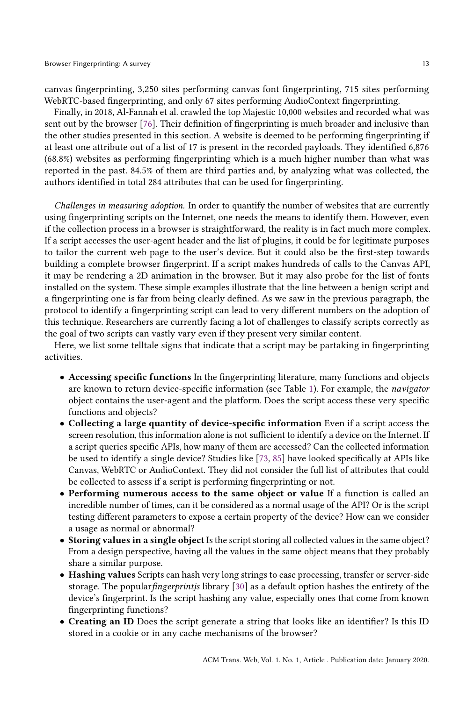canvas fingerprinting, 3,250 sites performing canvas font fingerprinting, 715 sites performing WebRTC-based fingerprinting, and only 67 sites performing AudioContext fingerprinting.

Finally, in 2018, Al-Fannah et al. crawled the top Majestic 10,000 websites and recorded what was sent out by the browser [\[76\]](#page-28-11). Their definition of fingerprinting is much broader and inclusive than the other studies presented in this section. A website is deemed to be performing fingerprinting if at least one attribute out of a list of 17 is present in the recorded payloads. They identified 6,876 (68.8%) websites as performing fingerprinting which is a much higher number than what was reported in the past. 84.5% of them are third parties and, by analyzing what was collected, the authors identified in total 284 attributes that can be used for fingerprinting.

Challenges in measuring adoption. In order to quantify the number of websites that are currently using fingerprinting scripts on the Internet, one needs the means to identify them. However, even if the collection process in a browser is straightforward, the reality is in fact much more complex. If a script accesses the user-agent header and the list of plugins, it could be for legitimate purposes to tailor the current web page to the user's device. But it could also be the first-step towards building a complete browser fingerprint. If a script makes hundreds of calls to the Canvas API, it may be rendering a 2D animation in the browser. But it may also probe for the list of fonts installed on the system. These simple examples illustrate that the line between a benign script and a fingerprinting one is far from being clearly defined. As we saw in the previous paragraph, the protocol to identify a fingerprinting script can lead to very different numbers on the adoption of this technique. Researchers are currently facing a lot of challenges to classify scripts correctly as the goal of two scripts can vastly vary even if they present very similar content.

Here, we list some telltale signs that indicate that a script may be partaking in fingerprinting activities.

- Accessing specific functions In the fingerprinting literature, many functions and objects are known to return device-specific information (see Table [1\)](#page-4-0). For example, the navigator object contains the user-agent and the platform. Does the script access these very specific functions and objects?
- Collecting a large quantity of device-specific information Even if a script access the screen resolution, this information alone is not sufficient to identify a device on the Internet. If a script queries specific APIs, how many of them are accessed? Can the collected information be used to identify a single device? Studies like [\[73,](#page-28-8) [85\]](#page-29-5) have looked specifically at APIs like Canvas, WebRTC or AudioContext. They did not consider the full list of attributes that could be collected to assess if a script is performing fingerprinting or not.
- Performing numerous access to the same object or value If a function is called an incredible number of times, can it be considered as a normal usage of the API? Or is the script testing different parameters to expose a certain property of the device? How can we consider a usage as normal or abnormal?
- Storing values in a single object Is the script storing all collected values in the same object? From a design perspective, having all the values in the same object means that they probably share a similar purpose.
- Hashing values Scripts can hash very long strings to ease processing, transfer or server-side storage. The popular *fingerprintis* library [\[30\]](#page-27-2) as a default option hashes the entirety of the device's fingerprint. Is the script hashing any value, especially ones that come from known fingerprinting functions?
- Creating an ID Does the script generate a string that looks like an identifier? Is this ID stored in a cookie or in any cache mechanisms of the browser?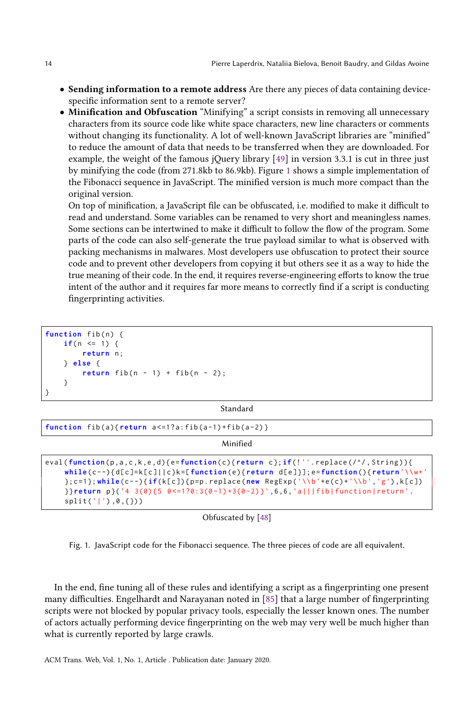- Sending information to a remote address Are there any pieces of data containing devicespecific information sent to a remote server?
- Minification and Obfuscation "Minifying" a script consists in removing all unnecessary characters from its source code like white space characters, new line characters or comments without changing its functionality. A lot of well-known JavaScript libraries are "minified" to reduce the amount of data that needs to be transferred when they are downloaded. For example, the weight of the famous jQuery library [\[49\]](#page-28-13) in version 3.3.1 is cut in three just by minifying the code (from 271.8kb to 86.9kb). Figure [1](#page-13-0) shows a simple implementation of the Fibonacci sequence in JavaScript. The minified version is much more compact than the original version.

On top of minification, a JavaScript file can be obfuscated, i.e. modified to make it difficult to read and understand. Some variables can be renamed to very short and meaningless names. Some sections can be intertwined to make it difficult to follow the flow of the program. Some parts of the code can also self-generate the true payload similar to what is observed with packing mechanisms in malwares. Most developers use obfuscation to protect their source code and to prevent other developers from copying it but others see it as a way to hide the true meaning of their code. In the end, it requires reverse-engineering efforts to know the true intent of the author and it requires far more means to correctly find if a script is conducting fingerprinting activities.

```
function fib(n) {
    if(n \leq 1) {
        return n;
    } else {
        return fib(n - 1) + fib(n - 2);}
}
```
Standard

| function $fib(a)$ {return $a \le 1$ ?a: $fib(a-1) + fib(a-2)$ }                                                                                                                                                                                                                                                                                                                              |
|----------------------------------------------------------------------------------------------------------------------------------------------------------------------------------------------------------------------------------------------------------------------------------------------------------------------------------------------------------------------------------------------|
| Minified                                                                                                                                                                                                                                                                                                                                                                                     |
| eval(function(p,a,c,k,e,d){e=function(c){return c};if(!''.replace(/^/,String)){<br>while(c--){d[c]=k[c]  c}k=[function(e){return d[e]}];e=function(){return'\\w+'<br>$\{c=1\}$ ; while $(c--)$ {if(k[c]) {p=p.replace(new RegExp('\\b'+e(c)+'\\b','g'), k[c])<br>$\{ \text{Perturn p} \}$ ('4 3(0){5 0 < = 1?0:3(0 - 1) + 3(0 - 2)}', 6, 6, 'a   fib function return'.<br>split(' '),0,(?)') |

Obfuscated by [\[48\]](#page-28-14)

Fig. 1. JavaScript code for the Fibonacci sequence. The three pieces of code are all equivalent.

In the end, fine tuning all of these rules and identifying a script as a fingerprinting one present many difficulties. Engelhardt and Narayanan noted in [\[85\]](#page-29-5) that a large number of fingerprinting scripts were not blocked by popular privacy tools, especially the lesser known ones. The number of actors actually performing device fingerprinting on the web may very well be much higher than what is currently reported by large crawls.

ACM Trans. Web, Vol. 1, No. 1, Article . Publication date: January 2020.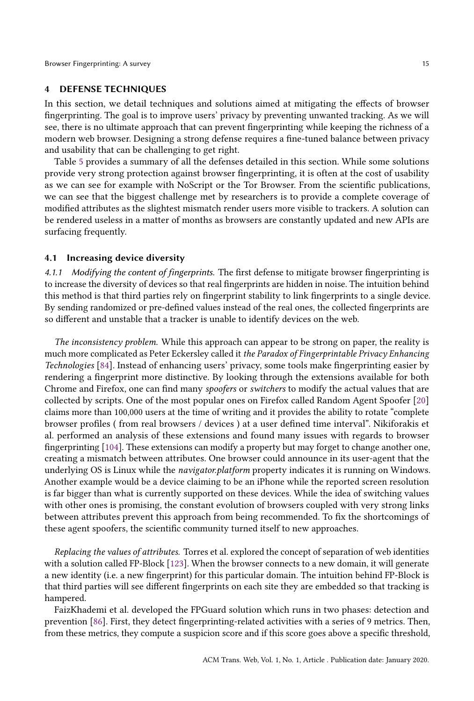## <span id="page-14-0"></span>4 DEFENSE TECHNIQUES

In this section, we detail techniques and solutions aimed at mitigating the effects of browser fingerprinting. The goal is to improve users' privacy by preventing unwanted tracking. As we will see, there is no ultimate approach that can prevent fingerprinting while keeping the richness of a modern web browser. Designing a strong defense requires a fine-tuned balance between privacy and usability that can be challenging to get right.

Table [5](#page-15-0) provides a summary of all the defenses detailed in this section. While some solutions provide very strong protection against browser fingerprinting, it is often at the cost of usability as we can see for example with NoScript or the Tor Browser. From the scientific publications, we can see that the biggest challenge met by researchers is to provide a complete coverage of modified attributes as the slightest mismatch render users more visible to trackers. A solution can be rendered useless in a matter of months as browsers are constantly updated and new APIs are surfacing frequently.

#### <span id="page-14-1"></span>4.1 Increasing device diversity

4.1.1 Modifying the content of fingerprints. The first defense to mitigate browser fingerprinting is to increase the diversity of devices so that real fingerprints are hidden in noise. The intuition behind this method is that third parties rely on fingerprint stability to link fingerprints to a single device. By sending randomized or pre-defined values instead of the real ones, the collected fingerprints are so different and unstable that a tracker is unable to identify devices on the web.

The inconsistency problem. While this approach can appear to be strong on paper, the reality is much more complicated as Peter Eckersley called it the Paradox of Fingerprintable Privacy Enhancing Technologies [\[84\]](#page-29-2). Instead of enhancing users' privacy, some tools make fingerprinting easier by rendering a fingerprint more distinctive. By looking through the extensions available for both Chrome and Firefox, one can find many spoofers or switchers to modify the actual values that are collected by scripts. One of the most popular ones on Firefox called Random Agent Spoofer [\[20\]](#page-27-8) claims more than 100,000 users at the time of writing and it provides the ability to rotate "complete browser profiles ( from real browsers / devices ) at a user defined time interval". Nikiforakis et al. performed an analysis of these extensions and found many issues with regards to browser fingerprinting [\[104\]](#page-30-4). These extensions can modify a property but may forget to change another one, creating a mismatch between attributes. One browser could announce in its user-agent that the underlying OS is Linux while the navigator.platform property indicates it is running on Windows. Another example would be a device claiming to be an iPhone while the reported screen resolution is far bigger than what is currently supported on these devices. While the idea of switching values with other ones is promising, the constant evolution of browsers coupled with very strong links between attributes prevent this approach from being recommended. To fix the shortcomings of these agent spoofers, the scientific community turned itself to new approaches.

Replacing the values of attributes. Torres et al. explored the concept of separation of web identities with a solution called FP-Block [\[123\]](#page-31-4). When the browser connects to a new domain, it will generate a new identity (i.e. a new fingerprint) for this particular domain. The intuition behind FP-Block is that third parties will see different fingerprints on each site they are embedded so that tracking is hampered.

FaizKhademi et al. developed the FPGuard solution which runs in two phases: detection and prevention [\[86\]](#page-29-12). First, they detect fingerprinting-related activities with a series of 9 metrics. Then, from these metrics, they compute a suspicion score and if this score goes above a specific threshold,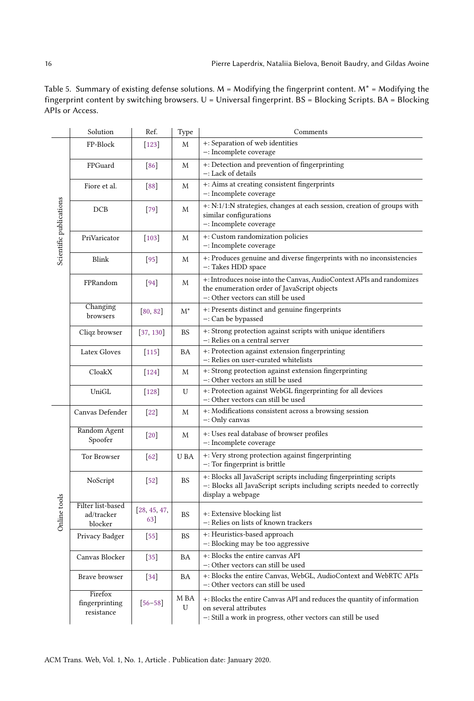|                         | Solution                                   | Ref.                | Type         | Comments                                                                                                                                                         |  |  |
|-------------------------|--------------------------------------------|---------------------|--------------|------------------------------------------------------------------------------------------------------------------------------------------------------------------|--|--|
| Scientific publications | FP-Block                                   | $[123]$             | M            | +: Separation of web identities<br>-: Incomplete coverage                                                                                                        |  |  |
|                         | FPGuard                                    | [86]                | M            | +: Detection and prevention of fingerprinting<br>-: Lack of details                                                                                              |  |  |
|                         | Fiore et al.                               | [88]                | M            | +: Aims at creating consistent fingerprints<br>-: Incomplete coverage                                                                                            |  |  |
|                         | DCB                                        | $[79]$              | $\mathbf{M}$ | +: N:1/1:N strategies, changes at each session, creation of groups with<br>similar configurations<br>-: Incomplete coverage                                      |  |  |
|                         | PriVaricator                               | $[103]$             | M            | +: Custom randomization policies<br>-: Incomplete coverage                                                                                                       |  |  |
|                         | Blink                                      | $[95]$              | M            | +: Produces genuine and diverse fingerprints with no inconsistencies<br>-: Takes HDD space                                                                       |  |  |
|                         | FPRandom                                   | 94                  | M            | +: Introduces noise into the Canvas, AudioContext APIs and randomizes<br>the enumeration order of JavaScript objects<br>-: Other vectors can still be used       |  |  |
|                         | Changing<br>browsers                       | [80, 82]            | $M^*$        | +: Presents distinct and genuine fingerprints<br>-: Can be bypassed                                                                                              |  |  |
|                         | Cliqz browser                              | [37, 130]           | <b>BS</b>    | +: Strong protection against scripts with unique identifiers<br>-: Relies on a central server                                                                    |  |  |
|                         | Latex Gloves                               | $[115]$             | <b>BA</b>    | +: Protection against extension fingerprinting<br>-: Relies on user-curated whitelists                                                                           |  |  |
|                         | CloakX                                     | $[124]$             | M            | +: Strong protection against extension fingerprinting<br>-: Other vectors an still be used                                                                       |  |  |
|                         | UniGL                                      | $[128]$             | U            | +: Protection against WebGL fingerprinting for all devices<br>-: Other vectors can still be used                                                                 |  |  |
|                         | Canvas Defender                            | $[22]$              | M            | +: Modifications consistent across a browsing session<br>-: Only canvas                                                                                          |  |  |
|                         | Random Agent<br>Spoofer                    | $[20]$              | M            | +: Uses real database of browser profiles<br>-: Incomplete coverage                                                                                              |  |  |
|                         | Tor Browser                                | 62                  | U BA         | +: Very strong protection against fingerprinting<br>-: Tor fingerprint is brittle                                                                                |  |  |
|                         | NoScript                                   | $[52]$              | <b>BS</b>    | +: Blocks all JavaScript scripts including fingerprinting scripts<br>-: Blocks all JavaScript scripts including scripts needed to correctly<br>display a webpage |  |  |
| Online tools            | Filter list-based<br>ad/tracker<br>blocker | [28, 45, 47,<br>63] | <b>BS</b>    | +: Extensive blocking list<br>-: Relies on lists of known trackers                                                                                               |  |  |
|                         | Privacy Badger                             | $[55]$              | <b>BS</b>    | +: Heuristics-based approach<br>-: Blocking may be too aggressive                                                                                                |  |  |
|                         | Canvas Blocker                             | $[35]$              | <b>BA</b>    | +: Blocks the entire canvas API<br>−: Other vectors can still be used                                                                                            |  |  |
|                         | <b>Brave browser</b>                       | $[34]$              | <b>BA</b>    | +: Blocks the entire Canvas, WebGL, AudioContext and WebRTC APIs<br>-: Other vectors can still be used                                                           |  |  |
|                         | Firefox<br>fingerprinting<br>resistance    | $[56 - 58]$         | M BA<br>U    | +: Blocks the entire Canvas API and reduces the quantity of information<br>on several attributes<br>-: Still a work in progress, other vectors can still be used |  |  |

<span id="page-15-0"></span>Table 5. Summary of existing defense solutions.  $M = Modifying$  the fingerprint content.  $M^* = Modifying$  the fingerprint content by switching browsers. U = Universal fingerprint.  $BS = Blocking$  Scripts. BA = Blocking APIs or Access.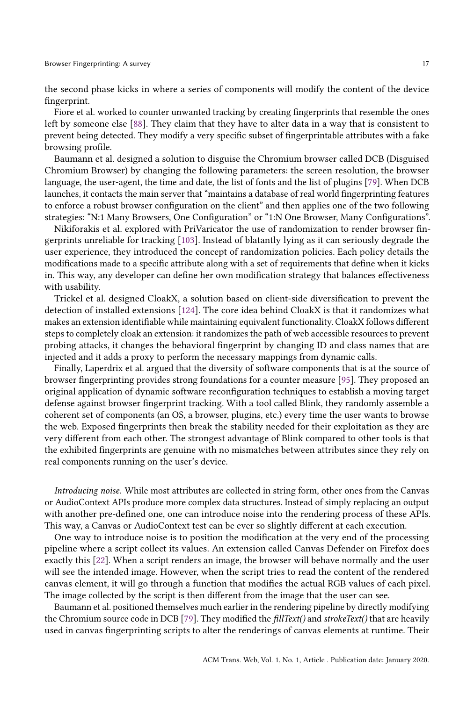the second phase kicks in where a series of components will modify the content of the device fingerprint.

Fiore et al. worked to counter unwanted tracking by creating fingerprints that resemble the ones left by someone else [\[88\]](#page-29-13). They claim that they have to alter data in a way that is consistent to prevent being detected. They modify a very specific subset of fingerprintable attributes with a fake browsing profile.

Baumann et al. designed a solution to disguise the Chromium browser called DCB (Disguised Chromium Browser) by changing the following parameters: the screen resolution, the browser language, the user-agent, the time and date, the list of fonts and the list of plugins [\[79\]](#page-28-15). When DCB launches, it contacts the main server that "maintains a database of real world fingerprinting features to enforce a robust browser configuration on the client" and then applies one of the two following strategies: "N:1 Many Browsers, One Configuration" or "1:N One Browser, Many Configurations".

Nikiforakis et al. explored with PriVaricator the use of randomization to render browser fingerprints unreliable for tracking [\[103\]](#page-30-14). Instead of blatantly lying as it can seriously degrade the user experience, they introduced the concept of randomization policies. Each policy details the modifications made to a specific attribute along with a set of requirements that define when it kicks in. This way, any developer can define her own modification strategy that balances effectiveness with usability.

Trickel et al. designed CloakX, a solution based on client-side diversification to prevent the detection of installed extensions [\[124\]](#page-31-6). The core idea behind CloakX is that it randomizes what makes an extension identifiable while maintaining equivalent functionality. CloakX follows different steps to completely cloak an extension: it randomizes the path of web accessible resources to prevent probing attacks, it changes the behavioral fingerprint by changing ID and class names that are injected and it adds a proxy to perform the necessary mappings from dynamic calls.

Finally, Laperdrix et al. argued that the diversity of software components that is at the source of browser fingerprinting provides strong foundations for a counter measure [\[95\]](#page-29-14). They proposed an original application of dynamic software reconfiguration techniques to establish a moving target defense against browser fingerprint tracking. With a tool called Blink, they randomly assemble a coherent set of components (an OS, a browser, plugins, etc.) every time the user wants to browse the web. Exposed fingerprints then break the stability needed for their exploitation as they are very different from each other. The strongest advantage of Blink compared to other tools is that the exhibited fingerprints are genuine with no mismatches between attributes since they rely on real components running on the user's device.

Introducing noise. While most attributes are collected in string form, other ones from the Canvas or AudioContext APIs produce more complex data structures. Instead of simply replacing an output with another pre-defined one, one can introduce noise into the rendering process of these APIs. This way, a Canvas or AudioContext test can be ever so slightly different at each execution.

One way to introduce noise is to position the modification at the very end of the processing pipeline where a script collect its values. An extension called Canvas Defender on Firefox does exactly this [\[22\]](#page-27-10). When a script renders an image, the browser will behave normally and the user will see the intended image. However, when the script tries to read the content of the rendered canvas element, it will go through a function that modifies the actual RGB values of each pixel. The image collected by the script is then different from the image that the user can see.

Baumann et al. positioned themselves much earlier in the rendering pipeline by directly modifying the Chromium source code in DCB [\[79\]](#page-28-15). They modified the fillText() and strokeText() that are heavily used in canvas fingerprinting scripts to alter the renderings of canvas elements at runtime. Their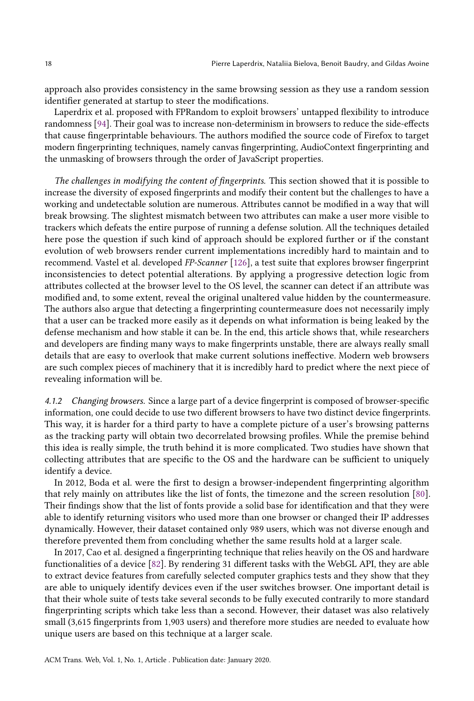approach also provides consistency in the same browsing session as they use a random session identifier generated at startup to steer the modifications.

Laperdrix et al. proposed with FPRandom to exploit browsers' untapped flexibility to introduce randomness [\[94\]](#page-29-15). Their goal was to increase non-determinism in browsers to reduce the side-effects that cause fingerprintable behaviours. The authors modified the source code of Firefox to target modern fingerprinting techniques, namely canvas fingerprinting, AudioContext fingerprinting and the unmasking of browsers through the order of JavaScript properties.

The challenges in modifying the content of fingerprints. This section showed that it is possible to increase the diversity of exposed fingerprints and modify their content but the challenges to have a working and undetectable solution are numerous. Attributes cannot be modified in a way that will break browsing. The slightest mismatch between two attributes can make a user more visible to trackers which defeats the entire purpose of running a defense solution. All the techniques detailed here pose the question if such kind of approach should be explored further or if the constant evolution of web browsers render current implementations incredibly hard to maintain and to recommend. Vastel et al. developed FP-Scanner [\[126\]](#page-31-8), a test suite that explores browser fingerprint inconsistencies to detect potential alterations. By applying a progressive detection logic from attributes collected at the browser level to the OS level, the scanner can detect if an attribute was modified and, to some extent, reveal the original unaltered value hidden by the countermeasure. The authors also argue that detecting a fingerprinting countermeasure does not necessarily imply that a user can be tracked more easily as it depends on what information is being leaked by the defense mechanism and how stable it can be. In the end, this article shows that, while researchers and developers are finding many ways to make fingerprints unstable, there are always really small details that are easy to overlook that make current solutions ineffective. Modern web browsers are such complex pieces of machinery that it is incredibly hard to predict where the next piece of revealing information will be.

<span id="page-17-0"></span>4.1.2 Changing browsers. Since a large part of a device fingerprint is composed of browser-specific information, one could decide to use two different browsers to have two distinct device fingerprints. This way, it is harder for a third party to have a complete picture of a user's browsing patterns as the tracking party will obtain two decorrelated browsing profiles. While the premise behind this idea is really simple, the truth behind it is more complicated. Two studies have shown that collecting attributes that are specific to the OS and the hardware can be sufficient to uniquely identify a device.

In 2012, Boda et al. were the first to design a browser-independent fingerprinting algorithm that rely mainly on attributes like the list of fonts, the timezone and the screen resolution [\[80\]](#page-28-16). Their findings show that the list of fonts provide a solid base for identification and that they were able to identify returning visitors who used more than one browser or changed their IP addresses dynamically. However, their dataset contained only 989 users, which was not diverse enough and therefore prevented them from concluding whether the same results hold at a larger scale.

In 2017, Cao et al. designed a fingerprinting technique that relies heavily on the OS and hardware functionalities of a device [\[82\]](#page-29-4). By rendering 31 different tasks with the WebGL API, they are able to extract device features from carefully selected computer graphics tests and they show that they are able to uniquely identify devices even if the user switches browser. One important detail is that their whole suite of tests take several seconds to be fully executed contrarily to more standard fingerprinting scripts which take less than a second. However, their dataset was also relatively small (3,615 fingerprints from 1,903 users) and therefore more studies are needed to evaluate how unique users are based on this technique at a larger scale.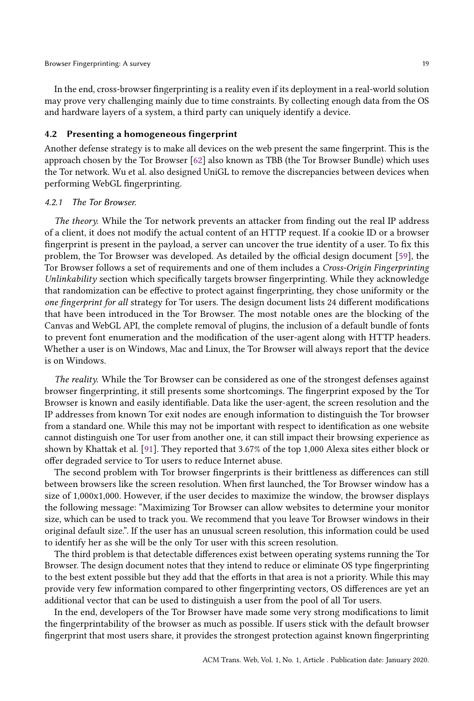In the end, cross-browser fingerprinting is a reality even if its deployment in a real-world solution may prove very challenging mainly due to time constraints. By collecting enough data from the OS and hardware layers of a system, a third party can uniquely identify a device.

## 4.2 Presenting a homogeneous fingerprint

Another defense strategy is to make all devices on the web present the same fingerprint. This is the approach chosen by the Tor Browser [\[62\]](#page-28-17) also known as TBB (the Tor Browser Bundle) which uses the Tor network. Wu et al. also designed UniGL to remove the discrepancies between devices when performing WebGL fingerprinting.

#### 4.2.1 The Tor Browser.

The theory. While the Tor network prevents an attacker from finding out the real IP address of a client, it does not modify the actual content of an HTTP request. If a cookie ID or a browser fingerprint is present in the payload, a server can uncover the true identity of a user. To fix this problem, the Tor Browser was developed. As detailed by the official design document [\[59\]](#page-28-24), the Tor Browser follows a set of requirements and one of them includes a Cross-Origin Fingerprinting Unlinkability section which specifically targets browser fingerprinting. While they acknowledge that randomization can be effective to protect against fingerprinting, they chose uniformity or the one fingerprint for all strategy for Tor users. The design document lists 24 different modifications that have been introduced in the Tor Browser. The most notable ones are the blocking of the Canvas and WebGL API, the complete removal of plugins, the inclusion of a default bundle of fonts to prevent font enumeration and the modification of the user-agent along with HTTP headers. Whether a user is on Windows, Mac and Linux, the Tor Browser will always report that the device is on Windows.

The reality. While the Tor Browser can be considered as one of the strongest defenses against browser fingerprinting, it still presents some shortcomings. The fingerprint exposed by the Tor Browser is known and easily identifiable. Data like the user-agent, the screen resolution and the IP addresses from known Tor exit nodes are enough information to distinguish the Tor browser from a standard one. While this may not be important with respect to identification as one website cannot distinguish one Tor user from another one, it can still impact their browsing experience as shown by Khattak et al. [\[91\]](#page-29-16). They reported that 3.67% of the top 1,000 Alexa sites either block or offer degraded service to Tor users to reduce Internet abuse.

The second problem with Tor browser fingerprints is their brittleness as differences can still between browsers like the screen resolution. When first launched, the Tor Browser window has a size of 1,000x1,000. However, if the user decides to maximize the window, the browser displays the following message: "Maximizing Tor Browser can allow websites to determine your monitor size, which can be used to track you. We recommend that you leave Tor Browser windows in their original default size.". If the user has an unusual screen resolution, this information could be used to identify her as she will be the only Tor user with this screen resolution.

The third problem is that detectable differences exist between operating systems running the Tor Browser. The design document notes that they intend to reduce or eliminate OS type fingerprinting to the best extent possible but they add that the efforts in that area is not a priority. While this may provide very few information compared to other fingerprinting vectors, OS differences are yet an additional vector that can be used to distinguish a user from the pool of all Tor users.

In the end, developers of the Tor Browser have made some very strong modifications to limit the fingerprintability of the browser as much as possible. If users stick with the default browser fingerprint that most users share, it provides the strongest protection against known fingerprinting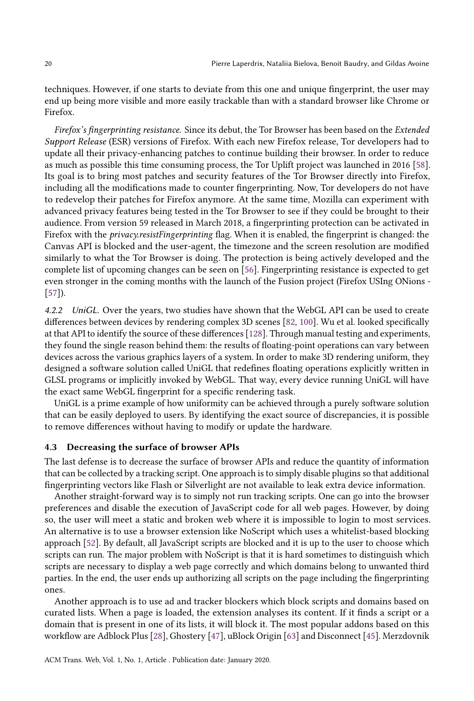techniques. However, if one starts to deviate from this one and unique fingerprint, the user may end up being more visible and more easily trackable than with a standard browser like Chrome or Firefox.

Firefox's fingerprinting resistance. Since its debut, the Tor Browser has been based on the Extended Support Release (ESR) versions of Firefox. With each new Firefox release, Tor developers had to update all their privacy-enhancing patches to continue building their browser. In order to reduce as much as possible this time consuming process, the Tor Uplift project was launched in 2016 [\[58\]](#page-28-23). Its goal is to bring most patches and security features of the Tor Browser directly into Firefox, including all the modifications made to counter fingerprinting. Now, Tor developers do not have to redevelop their patches for Firefox anymore. At the same time, Mozilla can experiment with advanced privacy features being tested in the Tor Browser to see if they could be brought to their audience. From version 59 released in March 2018, a fingerprinting protection can be activated in Firefox with the privacy.resistFingerprinting flag. When it is enabled, the fingerprint is changed: the Canvas API is blocked and the user-agent, the timezone and the screen resolution are modified similarly to what the Tor Browser is doing. The protection is being actively developed and the complete list of upcoming changes can be seen on [\[56\]](#page-28-22). Fingerprinting resistance is expected to get even stronger in the coming months with the launch of the Fusion project (Firefox USIng ONions - [\[57\]](#page-28-25)).

4.2.2 UniGL. Over the years, two studies have shown that the WebGL API can be used to create differences between devices by rendering complex 3D scenes [\[82,](#page-29-4) [100\]](#page-29-3). Wu et al. looked specifically at that API to identify the source of these differences [\[128\]](#page-31-7). Through manual testing and experiments, they found the single reason behind them: the results of floating-point operations can vary between devices across the various graphics layers of a system. In order to make 3D rendering uniform, they designed a software solution called UniGL that redefines floating operations explicitly written in GLSL programs or implicitly invoked by WebGL. That way, every device running UniGL will have the exact same WebGL fingerprint for a specific rendering task.

UniGL is a prime example of how uniformity can be achieved through a purely software solution that can be easily deployed to users. By identifying the exact source of discrepancies, it is possible to remove differences without having to modify or update the hardware.

#### 4.3 Decreasing the surface of browser APIs

The last defense is to decrease the surface of browser APIs and reduce the quantity of information that can be collected by a tracking script. One approach is to simply disable plugins so that additional fingerprinting vectors like Flash or Silverlight are not available to leak extra device information.

Another straight-forward way is to simply not run tracking scripts. One can go into the browser preferences and disable the execution of JavaScript code for all web pages. However, by doing so, the user will meet a static and broken web where it is impossible to login to most services. An alternative is to use a browser extension like NoScript which uses a whitelist-based blocking approach [\[52\]](#page-28-18). By default, all JavaScript scripts are blocked and it is up to the user to choose which scripts can run. The major problem with NoScript is that it is hard sometimes to distinguish which scripts are necessary to display a web page correctly and which domains belong to unwanted third parties. In the end, the user ends up authorizing all scripts on the page including the fingerprinting ones.

Another approach is to use ad and tracker blockers which block scripts and domains based on curated lists. When a page is loaded, the extension analyses its content. If it finds a script or a domain that is present in one of its lists, it will block it. The most popular addons based on this workflow are Adblock Plus [\[28\]](#page-27-11), Ghostery [\[47\]](#page-28-19), uBlock Origin [\[63\]](#page-28-20) and Disconnect [\[45\]](#page-27-12). Merzdovnik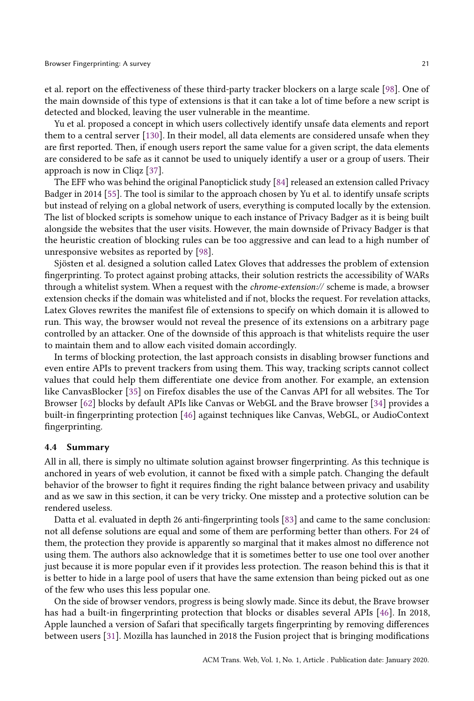et al. report on the effectiveness of these third-party tracker blockers on a large scale [\[98\]](#page-29-17). One of the main downside of this type of extensions is that it can take a lot of time before a new script is detected and blocked, leaving the user vulnerable in the meantime.

Yu et al. proposed a concept in which users collectively identify unsafe data elements and report them to a central server [\[130\]](#page-31-5). In their model, all data elements are considered unsafe when they are first reported. Then, if enough users report the same value for a given script, the data elements are considered to be safe as it cannot be used to uniquely identify a user or a group of users. Their approach is now in Cliqz [\[37\]](#page-27-9).

The EFF who was behind the original Panopticlick study [\[84\]](#page-29-2) released an extension called Privacy Badger in 2014 [\[55\]](#page-28-21). The tool is similar to the approach chosen by Yu et al. to identify unsafe scripts but instead of relying on a global network of users, everything is computed locally by the extension. The list of blocked scripts is somehow unique to each instance of Privacy Badger as it is being built alongside the websites that the user visits. However, the main downside of Privacy Badger is that the heuristic creation of blocking rules can be too aggressive and can lead to a high number of unresponsive websites as reported by [\[98\]](#page-29-17).

Sjösten et al. designed a solution called Latex Gloves that addresses the problem of extension fingerprinting. To protect against probing attacks, their solution restricts the accessibility of WARs through a whitelist system. When a request with the chrome-extension:// scheme is made, a browser extension checks if the domain was whitelisted and if not, blocks the request. For revelation attacks, Latex Gloves rewrites the manifest file of extensions to specify on which domain it is allowed to run. This way, the browser would not reveal the presence of its extensions on a arbitrary page controlled by an attacker. One of the downside of this approach is that whitelists require the user to maintain them and to allow each visited domain accordingly.

In terms of blocking protection, the last approach consists in disabling browser functions and even entire APIs to prevent trackers from using them. This way, tracking scripts cannot collect values that could help them differentiate one device from another. For example, an extension like CanvasBlocker [\[35\]](#page-27-13) on Firefox disables the use of the Canvas API for all websites. The Tor Browser [\[62\]](#page-28-17) blocks by default APIs like Canvas or WebGL and the Brave browser [\[34\]](#page-27-14) provides a built-in fingerprinting protection [\[46\]](#page-28-26) against techniques like Canvas, WebGL, or AudioContext fingerprinting.

#### 4.4 Summary

All in all, there is simply no ultimate solution against browser fingerprinting. As this technique is anchored in years of web evolution, it cannot be fixed with a simple patch. Changing the default behavior of the browser to fight it requires finding the right balance between privacy and usability and as we saw in this section, it can be very tricky. One misstep and a protective solution can be rendered useless.

Datta et al. evaluated in depth 26 anti-fingerprinting tools [\[83\]](#page-29-18) and came to the same conclusion: not all defense solutions are equal and some of them are performing better than others. For 24 of them, the protection they provide is apparently so marginal that it makes almost no difference not using them. The authors also acknowledge that it is sometimes better to use one tool over another just because it is more popular even if it provides less protection. The reason behind this is that it is better to hide in a large pool of users that have the same extension than being picked out as one of the few who uses this less popular one.

On the side of browser vendors, progress is being slowly made. Since its debut, the Brave browser has had a built-in fingerprinting protection that blocks or disables several APIs [\[46\]](#page-28-26). In 2018, Apple launched a version of Safari that specifically targets fingerprinting by removing differences between users [\[31\]](#page-27-15). Mozilla has launched in 2018 the Fusion project that is bringing modifications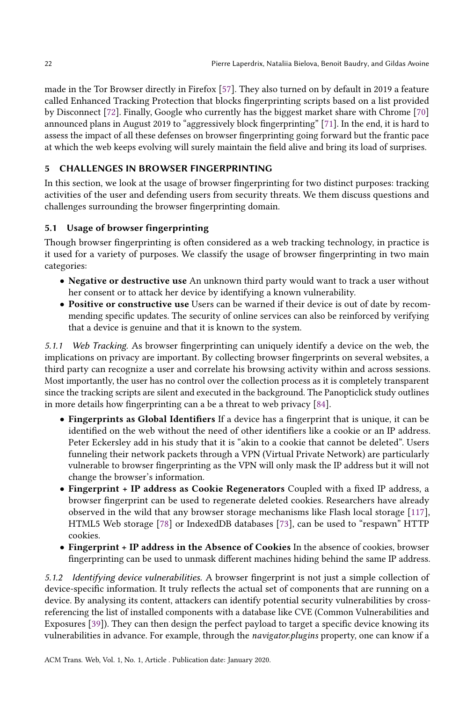made in the Tor Browser directly in Firefox [\[57\]](#page-28-25). They also turned on by default in 2019 a feature called Enhanced Tracking Protection that blocks fingerprinting scripts based on a list provided by Disconnect [\[72\]](#page-28-27). Finally, Google who currently has the biggest market share with Chrome [\[70\]](#page-28-28) announced plans in August 2019 to "aggressively block fingerprinting" [\[71\]](#page-28-29). In the end, it is hard to assess the impact of all these defenses on browser fingerprinting going forward but the frantic pace at which the web keeps evolving will surely maintain the field alive and bring its load of surprises.

# <span id="page-21-0"></span>5 CHALLENGES IN BROWSER FINGERPRINTING

In this section, we look at the usage of browser fingerprinting for two distinct purposes: tracking activities of the user and defending users from security threats. We them discuss questions and challenges surrounding the browser fingerprinting domain.

# <span id="page-21-3"></span>5.1 Usage of browser fingerprinting

Though browser fingerprinting is often considered as a web tracking technology, in practice is it used for a variety of purposes. We classify the usage of browser fingerprinting in two main categories:

- Negative or destructive use An unknown third party would want to track a user without her consent or to attack her device by identifying a known vulnerability.
- Positive or constructive use Users can be warned if their device is out of date by recommending specific updates. The security of online services can also be reinforced by verifying that a device is genuine and that it is known to the system.

<span id="page-21-1"></span>5.1.1 Web Tracking. As browser fingerprinting can uniquely identify a device on the web, the implications on privacy are important. By collecting browser fingerprints on several websites, a third party can recognize a user and correlate his browsing activity within and across sessions. Most importantly, the user has no control over the collection process as it is completely transparent since the tracking scripts are silent and executed in the background. The Panopticlick study outlines in more details how fingerprinting can a be a threat to web privacy [\[84\]](#page-29-2).

- Fingerprints as Global Identifiers If a device has a fingerprint that is unique, it can be identified on the web without the need of other identifiers like a cookie or an IP address. Peter Eckersley add in his study that it is "akin to a cookie that cannot be deleted". Users funneling their network packets through a VPN (Virtual Private Network) are particularly vulnerable to browser fingerprinting as the VPN will only mask the IP address but it will not change the browser's information.
- Fingerprint + IP address as Cookie Regenerators Coupled with a fixed IP address, a browser fingerprint can be used to regenerate deleted cookies. Researchers have already observed in the wild that any browser storage mechanisms like Flash local storage [\[117\]](#page-30-16), HTML5 Web storage [\[78\]](#page-28-30) or IndexedDB databases [\[73\]](#page-28-8), can be used to "respawn" HTTP cookies.
- Fingerprint + IP address in the Absence of Cookies In the absence of cookies, browser fingerprinting can be used to unmask different machines hiding behind the same IP address.

<span id="page-21-2"></span>5.1.2 Identifying device vulnerabilities. A browser fingerprint is not just a simple collection of device-specific information. It truly reflects the actual set of components that are running on a device. By analysing its content, attackers can identify potential security vulnerabilities by crossreferencing the list of installed components with a database like CVE (Common Vulnerabilities and Exposures [\[39\]](#page-27-16)). They can then design the perfect payload to target a specific device knowing its vulnerabilities in advance. For example, through the navigator.plugins property, one can know if a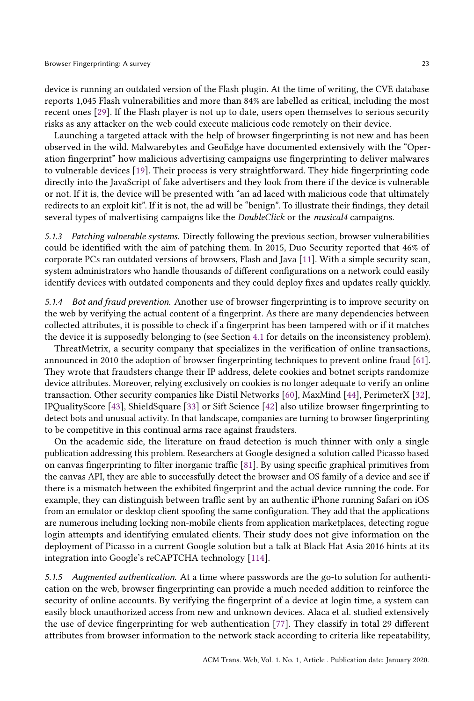device is running an outdated version of the Flash plugin. At the time of writing, the CVE database reports 1,045 Flash vulnerabilities and more than 84% are labelled as critical, including the most recent ones [\[29\]](#page-27-17). If the Flash player is not up to date, users open themselves to serious security risks as any attacker on the web could execute malicious code remotely on their device.

Launching a targeted attack with the help of browser fingerprinting is not new and has been observed in the wild. Malwarebytes and GeoEdge have documented extensively with the "Operation fingerprint" how malicious advertising campaigns use fingerprinting to deliver malwares to vulnerable devices [\[19\]](#page-27-18). Their process is very straightforward. They hide fingerprinting code directly into the JavaScript of fake advertisers and they look from there if the device is vulnerable or not. If it is, the device will be presented with "an ad laced with malicious code that ultimately redirects to an exploit kit". If it is not, the ad will be "benign". To illustrate their findings, they detail several types of malvertising campaigns like the *DoubleClick* or the *musical4* campaigns.

<span id="page-22-1"></span>5.1.3 Patching vulnerable systems. Directly following the previous section, browser vulnerabilities could be identified with the aim of patching them. In 2015, Duo Security reported that 46% of corporate PCs ran outdated versions of browsers, Flash and Java [\[11\]](#page-26-9). With a simple security scan, system administrators who handle thousands of different configurations on a network could easily identify devices with outdated components and they could deploy fixes and updates really quickly.

<span id="page-22-2"></span>5.1.4 Bot and fraud prevention. Another use of browser fingerprinting is to improve security on the web by verifying the actual content of a fingerprint. As there are many dependencies between collected attributes, it is possible to check if a fingerprint has been tampered with or if it matches the device it is supposedly belonging to (see Section [4.1](#page-14-1) for details on the inconsistency problem).

ThreatMetrix, a security company that specializes in the verification of online transactions, announced in 2010 the adoption of browser fingerprinting techniques to prevent online fraud [\[61\]](#page-28-31). They wrote that fraudsters change their IP address, delete cookies and botnet scripts randomize device attributes. Moreover, relying exclusively on cookies is no longer adequate to verify an online transaction. Other security companies like Distil Networks [\[60\]](#page-28-32), MaxMind [\[44\]](#page-27-19), PerimeterX [\[32\]](#page-27-20), IPQualityScore [\[43\]](#page-27-21), ShieldSquare [\[33\]](#page-27-22) or Sift Science [\[42\]](#page-27-23) also utilize browser fingerprinting to detect bots and unusual activity. In that landscape, companies are turning to browser fingerprinting to be competitive in this continual arms race against fraudsters.

On the academic side, the literature on fraud detection is much thinner with only a single publication addressing this problem. Researchers at Google designed a solution called Picasso based on canvas fingerprinting to filter inorganic traffic [\[81\]](#page-29-19). By using specific graphical primitives from the canvas API, they are able to successfully detect the browser and OS family of a device and see if there is a mismatch between the exhibited fingerprint and the actual device running the code. For example, they can distinguish between traffic sent by an authentic iPhone running Safari on iOS from an emulator or desktop client spoofing the same configuration. They add that the applications are numerous including locking non-mobile clients from application marketplaces, detecting rogue login attempts and identifying emulated clients. Their study does not give information on the deployment of Picasso in a current Google solution but a talk at Black Hat Asia 2016 hints at its integration into Google's reCAPTCHA technology [\[114\]](#page-30-17).

<span id="page-22-0"></span>5.1.5 Augmented authentication. At a time where passwords are the go-to solution for authentication on the web, browser fingerprinting can provide a much needed addition to reinforce the security of online accounts. By verifying the fingerprint of a device at login time, a system can easily block unauthorized access from new and unknown devices. Alaca et al. studied extensively the use of device fingerprinting for web authentication [\[77\]](#page-28-33). They classify in total 29 different attributes from browser information to the network stack according to criteria like repeatability,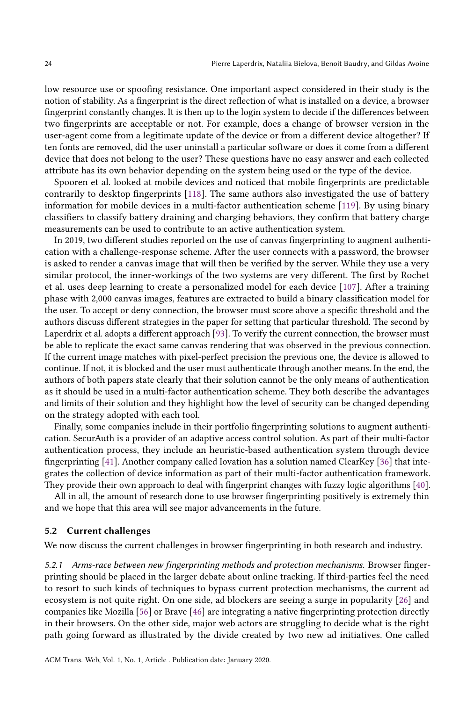low resource use or spoofing resistance. One important aspect considered in their study is the notion of stability. As a fingerprint is the direct reflection of what is installed on a device, a browser fingerprint constantly changes. It is then up to the login system to decide if the differences between two fingerprints are acceptable or not. For example, does a change of browser version in the user-agent come from a legitimate update of the device or from a different device altogether? If ten fonts are removed, did the user uninstall a particular software or does it come from a different device that does not belong to the user? These questions have no easy answer and each collected attribute has its own behavior depending on the system being used or the type of the device.

Spooren et al. looked at mobile devices and noticed that mobile fingerprints are predictable contrarily to desktop fingerprints [\[118\]](#page-30-18). The same authors also investigated the use of battery information for mobile devices in a multi-factor authentication scheme [\[119\]](#page-30-19). By using binary classifiers to classify battery draining and charging behaviors, they confirm that battery charge measurements can be used to contribute to an active authentication system.

In 2019, two different studies reported on the use of canvas fingerprinting to augment authentication with a challenge-response scheme. After the user connects with a password, the browser is asked to render a canvas image that will then be verified by the server. While they use a very similar protocol, the inner-workings of the two systems are very different. The first by Rochet et al. uses deep learning to create a personalized model for each device [\[107\]](#page-30-20). After a training phase with 2,000 canvas images, features are extracted to build a binary classification model for the user. To accept or deny connection, the browser must score above a specific threshold and the authors discuss different strategies in the paper for setting that particular threshold. The second by Laperdrix et al. adopts a different approach [\[93\]](#page-29-20). To verify the current connection, the browser must be able to replicate the exact same canvas rendering that was observed in the previous connection. If the current image matches with pixel-perfect precision the previous one, the device is allowed to continue. If not, it is blocked and the user must authenticate through another means. In the end, the authors of both papers state clearly that their solution cannot be the only means of authentication as it should be used in a multi-factor authentication scheme. They both describe the advantages and limits of their solution and they highlight how the level of security can be changed depending on the strategy adopted with each tool.

Finally, some companies include in their portfolio fingerprinting solutions to augment authentication. SecurAuth is a provider of an adaptive access control solution. As part of their multi-factor authentication process, they include an heuristic-based authentication system through device fingerprinting [\[41\]](#page-27-24). Another company called Iovation has a solution named ClearKey [\[36\]](#page-27-25) that integrates the collection of device information as part of their multi-factor authentication framework. They provide their own approach to deal with fingerprint changes with fuzzy logic algorithms [\[40\]](#page-27-26).

All in all, the amount of research done to use browser fingerprinting positively is extremely thin and we hope that this area will see major advancements in the future.

## 5.2 Current challenges

We now discuss the current challenges in browser fingerprinting in both research and industry.

5.2.1 Arms-race between new fingerprinting methods and protection mechanisms. Browser fingerprinting should be placed in the larger debate about online tracking. If third-parties feel the need to resort to such kinds of techniques to bypass current protection mechanisms, the current ad ecosystem is not quite right. On one side, ad blockers are seeing a surge in popularity [\[26\]](#page-27-27) and companies like Mozilla [\[56\]](#page-28-22) or Brave [\[46\]](#page-28-26) are integrating a native fingerprinting protection directly in their browsers. On the other side, major web actors are struggling to decide what is the right path going forward as illustrated by the divide created by two new ad initiatives. One called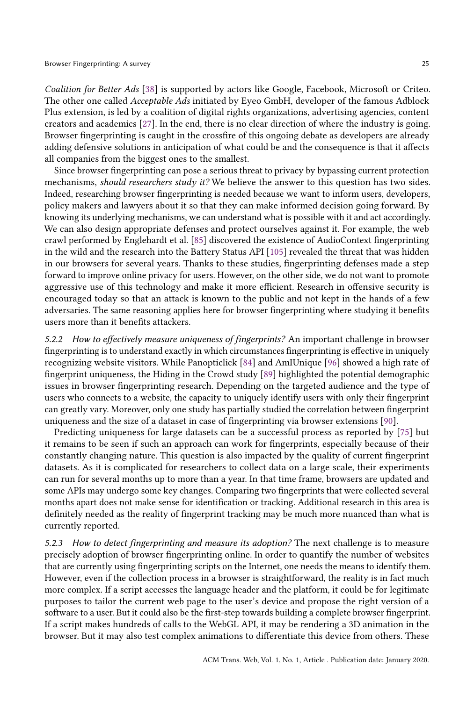Coalition for Better Ads [\[38\]](#page-27-28) is supported by actors like Google, Facebook, Microsoft or Criteo. The other one called Acceptable Ads initiated by Eyeo GmbH, developer of the famous Adblock Plus extension, is led by a coalition of digital rights organizations, advertising agencies, content creators and academics [\[27\]](#page-27-29). In the end, there is no clear direction of where the industry is going. Browser fingerprinting is caught in the crossfire of this ongoing debate as developers are already adding defensive solutions in anticipation of what could be and the consequence is that it affects all companies from the biggest ones to the smallest.

Since browser fingerprinting can pose a serious threat to privacy by bypassing current protection mechanisms, *should researchers study it?* We believe the answer to this question has two sides. Indeed, researching browser fingerprinting is needed because we want to inform users, developers, policy makers and lawyers about it so that they can make informed decision going forward. By knowing its underlying mechanisms, we can understand what is possible with it and act accordingly. We can also design appropriate defenses and protect ourselves against it. For example, the web crawl performed by Englehardt et al. [\[85\]](#page-29-5) discovered the existence of AudioContext fingerprinting in the wild and the research into the Battery Status API [\[105\]](#page-30-11) revealed the threat that was hidden in our browsers for several years. Thanks to these studies, fingerprinting defenses made a step forward to improve online privacy for users. However, on the other side, we do not want to promote aggressive use of this technology and make it more efficient. Research in offensive security is encouraged today so that an attack is known to the public and not kept in the hands of a few adversaries. The same reasoning applies here for browser fingerprinting where studying it benefits users more than it benefits attackers.

5.2.2 How to effectively measure uniqueness of fingerprints? An important challenge in browser fingerprinting is to understand exactly in which circumstances fingerprinting is effective in uniquely recognizing website visitors. While Panopticlick [\[84\]](#page-29-2) and AmIUnique [\[96\]](#page-29-10) showed a high rate of fingerprint uniqueness, the Hiding in the Crowd study [\[89\]](#page-29-11) highlighted the potential demographic issues in browser fingerprinting research. Depending on the targeted audience and the type of users who connects to a website, the capacity to uniquely identify users with only their fingerprint can greatly vary. Moreover, only one study has partially studied the correlation between fingerprint uniqueness and the size of a dataset in case of fingerprinting via browser extensions [\[90\]](#page-29-6).

Predicting uniqueness for large datasets can be a successful process as reported by [\[75\]](#page-28-34) but it remains to be seen if such an approach can work for fingerprints, especially because of their constantly changing nature. This question is also impacted by the quality of current fingerprint datasets. As it is complicated for researchers to collect data on a large scale, their experiments can run for several months up to more than a year. In that time frame, browsers are updated and some APIs may undergo some key changes. Comparing two fingerprints that were collected several months apart does not make sense for identification or tracking. Additional research in this area is definitely needed as the reality of fingerprint tracking may be much more nuanced than what is currently reported.

5.2.3 How to detect fingerprinting and measure its adoption? The next challenge is to measure precisely adoption of browser fingerprinting online. In order to quantify the number of websites that are currently using fingerprinting scripts on the Internet, one needs the means to identify them. However, even if the collection process in a browser is straightforward, the reality is in fact much more complex. If a script accesses the language header and the platform, it could be for legitimate purposes to tailor the current web page to the user's device and propose the right version of a software to a user. But it could also be the first-step towards building a complete browser fingerprint. If a script makes hundreds of calls to the WebGL API, it may be rendering a 3D animation in the browser. But it may also test complex animations to differentiate this device from others. These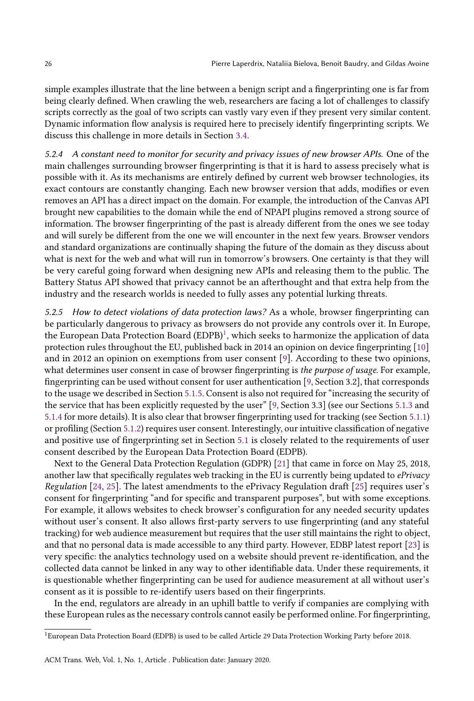simple examples illustrate that the line between a benign script and a fingerprinting one is far from being clearly defined. When crawling the web, researchers are facing a lot of challenges to classify scripts correctly as the goal of two scripts can vastly vary even if they present very similar content. Dynamic information flow analysis is required here to precisely identify fingerprinting scripts. We discuss this challenge in more details in Section [3.4.](#page-10-1)

5.2.4 A constant need to monitor for security and privacy issues of new browser APIs. One of the main challenges surrounding browser fingerprinting is that it is hard to assess precisely what is possible with it. As its mechanisms are entirely defined by current web browser technologies, its exact contours are constantly changing. Each new browser version that adds, modifies or even removes an API has a direct impact on the domain. For example, the introduction of the Canvas API brought new capabilities to the domain while the end of NPAPI plugins removed a strong source of information. The browser fingerprinting of the past is already different from the ones we see today and will surely be different from the one we will encounter in the next few years. Browser vendors and standard organizations are continually shaping the future of the domain as they discuss about what is next for the web and what will run in tomorrow's browsers. One certainty is that they will be very careful going forward when designing new APIs and releasing them to the public. The Battery Status API showed that privacy cannot be an afterthought and that extra help from the industry and the research worlds is needed to fully asses any potential lurking threats.

5.2.5 How to detect violations of data protection laws? As a whole, browser fingerprinting can be particularly dangerous to privacy as browsers do not provide any controls over it. In Europe, the European Data Protection Board  $(\mathrm{EDPB})^1$  $(\mathrm{EDPB})^1$ , which seeks to harmonize the application of data protection rules throughout the EU, published back in 2014 an opinion on device fingerprinting [\[10\]](#page-26-10) and in 2012 an opinion on exemptions from user consent [\[9\]](#page-26-11). According to these two opinions, what determines user consent in case of browser fingerprinting is the purpose of usage. For example, fingerprinting can be used without consent for user authentication [\[9,](#page-26-11) Section 3.2], that corresponds to the usage we described in Section [5.1.5.](#page-22-0) Consent is also not required for "increasing the security of the service that has been explicitly requested by the user" [\[9,](#page-26-11) Section 3.3] (see our Sections [5.1.3](#page-22-1) and [5.1.4](#page-22-2) for more details). It is also clear that browser fingerprinting used for tracking (see Section [5.1.1\)](#page-21-1) or profiling (Section [5.1.2\)](#page-21-2) requires user consent. Interestingly, our intuitive classification of negative and positive use of fingerprinting set in Section [5.1](#page-21-3) is closely related to the requirements of user consent described by the European Data Protection Board (EDPB).

Next to the General Data Protection Regulation (GDPR) [\[21\]](#page-27-30) that came in force on May 25, 2018, another law that specifically regulates web tracking in the EU is currently being updated to *ePrivacy* Regulation [\[24,](#page-27-31) [25\]](#page-27-32). The latest amendments to the ePrivacy Regulation draft [\[25\]](#page-27-32) requires user's consent for fingerprinting "and for specific and transparent purposes", but with some exceptions. For example, it allows websites to check browser's configuration for any needed security updates without user's consent. It also allows first-party servers to use fingerprinting (and any stateful tracking) for web audience measurement but requires that the user still maintains the right to object, and that no personal data is made accessible to any third party. However, EDBP latest report [\[23\]](#page-27-33) is very specific: the analytics technology used on a website should prevent re-identification, and the collected data cannot be linked in any way to other identifiable data. Under these requirements, it is questionable whether fingerprinting can be used for audience measurement at all without user's consent as it is possible to re-identify users based on their fingerprints.

In the end, regulators are already in an uphill battle to verify if companies are complying with these European rules as the necessary controls cannot easily be performed online. For fingerprinting,

<span id="page-25-0"></span><sup>1</sup>European Data Protection Board (EDPB) is used to be called Article 29 Data Protection Working Party before 2018.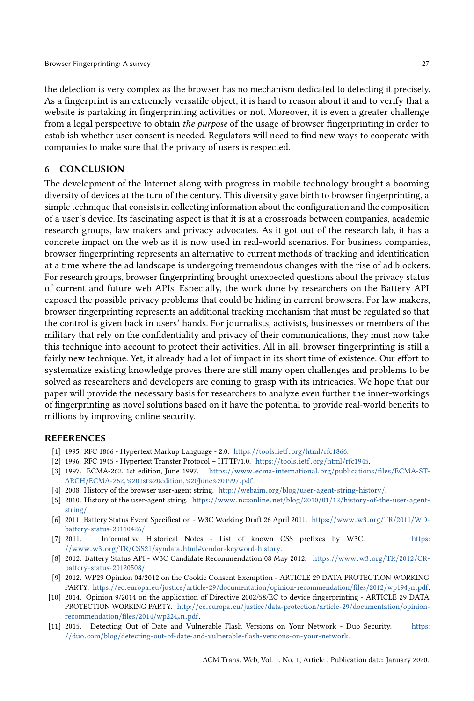the detection is very complex as the browser has no mechanism dedicated to detecting it precisely. As a fingerprint is an extremely versatile object, it is hard to reason about it and to verify that a website is partaking in fingerprinting activities or not. Moreover, it is even a greater challenge from a legal perspective to obtain the purpose of the usage of browser fingerprinting in order to establish whether user consent is needed. Regulators will need to find new ways to cooperate with companies to make sure that the privacy of users is respected.

# <span id="page-26-0"></span>6 CONCLUSION

The development of the Internet along with progress in mobile technology brought a booming diversity of devices at the turn of the century. This diversity gave birth to browser fingerprinting, a simple technique that consists in collecting information about the configuration and the composition of a user's device. Its fascinating aspect is that it is at a crossroads between companies, academic research groups, law makers and privacy advocates. As it got out of the research lab, it has a concrete impact on the web as it is now used in real-world scenarios. For business companies, browser fingerprinting represents an alternative to current methods of tracking and identification at a time where the ad landscape is undergoing tremendous changes with the rise of ad blockers. For research groups, browser fingerprinting brought unexpected questions about the privacy status of current and future web APIs. Especially, the work done by researchers on the Battery API exposed the possible privacy problems that could be hiding in current browsers. For law makers, browser fingerprinting represents an additional tracking mechanism that must be regulated so that the control is given back in users' hands. For journalists, activists, businesses or members of the military that rely on the confidentiality and privacy of their communications, they must now take this technique into account to protect their activities. All in all, browser fingerprinting is still a fairly new technique. Yet, it already had a lot of impact in its short time of existence. Our effort to systematize existing knowledge proves there are still many open challenges and problems to be solved as researchers and developers are coming to grasp with its intricacies. We hope that our paper will provide the necessary basis for researchers to analyze even further the inner-workings of fingerprinting as novel solutions based on it have the potential to provide real-world benefits to millions by improving online security.

## REFERENCES

- <span id="page-26-2"></span>[1] 1995. RFC 1866 - Hypertext Markup Language - 2.0. https://tools.ietf.org/html/[rfc1866.](https://tools.ietf.org/html/rfc1866)
- <span id="page-26-1"></span>[2] 1996. RFC 1945 - Hypertext Transfer Protocol – HTTP/1.0. https://tools.ietf.org/html/[rfc1945.](https://tools.ietf.org/html/rfc1945)
- <span id="page-26-5"></span>[3] 1997. ECMA-262, 1st edition, June 1997. https://www.[ecma-international](https://www.ecma-international.org/publications/files/ECMA-ST-ARCH/ECMA-262,%201st%20edition,%20June%201997.pdf).org/publications/files/ECMA-ST-ARCH/ECMA-262,[%201st%20edition](https://www.ecma-international.org/publications/files/ECMA-ST-ARCH/ECMA-262,%201st%20edition,%20June%201997.pdf),%20June%201997.pdf.
- <span id="page-26-3"></span>[4] 2008. History of the browser user-agent string. http://webaim.org/blog/[user-agent-string-history](http://webaim.org/blog/user-agent-string-history/)/.
- <span id="page-26-4"></span>[5] 2010. History of the user-agent string. https://www.nczonline.net/blog/2010/01/12/[history-of-the-user-agent](https://www.nczonline.net/blog/2010/01/12/history-of-the-user-agent-string/)[string](https://www.nczonline.net/blog/2010/01/12/history-of-the-user-agent-string/)/.
- <span id="page-26-7"></span>[6] 2011. Battery Status Event Specification - W3C Working Draft 26 April 2011. [https:](https://www.w3.org/TR/2011/WD-battery-status-20110426/)//www.w3.org/TR/2011/WD[battery-status-20110426](https://www.w3.org/TR/2011/WD-battery-status-20110426/)/.
- <span id="page-26-6"></span>[7] 2011. Informative Historical Notes - List of known CSS prefixes by W3C. [https:](https://www.w3.org/TR/CSS21/syndata.html#vendor-keyword-history) //www.w3.org/TR/CSS21/syndata.[html#vendor-keyword-history.](https://www.w3.org/TR/CSS21/syndata.html#vendor-keyword-history)
- <span id="page-26-8"></span>[8] 2012. Battery Status API - W3C Candidate Recommendation 08 May 2012. [https:](https://www.w3.org/TR/2012/CR-battery-status-20120508/)//www.w3.org/TR/2012/CR[battery-status-20120508](https://www.w3.org/TR/2012/CR-battery-status-20120508/)/.
- <span id="page-26-11"></span>[9] 2012. WP29 Opinion 04/2012 on the Cookie Consent Exemption - ARTICLE 29 DATA PROTECTION WORKING PARTY. https://ec.europa.eu/justice/article-29/documentation/[opinion-recommendation](https://ec.europa.eu/justice/article-29/documentation/opinion-recommendation/files/2012/wp194_en.pdf)/files/2012/wp194en.pdf.
- <span id="page-26-10"></span>[10] 2014. Opinion 9/2014 on the application of Directive 2002/58/EC to device fingerprinting - ARTICLE 29 DATA PROTECTION WORKING PARTY. http://ec.europa.eu/justice/[data-protection](http://ec.europa.eu/justice/data-protection/article-29/documentation/opinion-recommendation/files/2014/wp224_en.pdf)/article-29/documentation/opinion[recommendation](http://ec.europa.eu/justice/data-protection/article-29/documentation/opinion-recommendation/files/2014/wp224_en.pdf)/files/2014/wp224en.pdf.
- <span id="page-26-9"></span>[11] 2015. Detecting Out of Date and Vulnerable Flash Versions on Your Network - Duo Security. [https:](https://duo.com/blog/detecting-out-of-date-and-vulnerable-flash-versions-on-your-network) //duo.com/blog/[detecting-out-of-date-and-vulnerable-flash-versions-on-your-network.](https://duo.com/blog/detecting-out-of-date-and-vulnerable-flash-versions-on-your-network)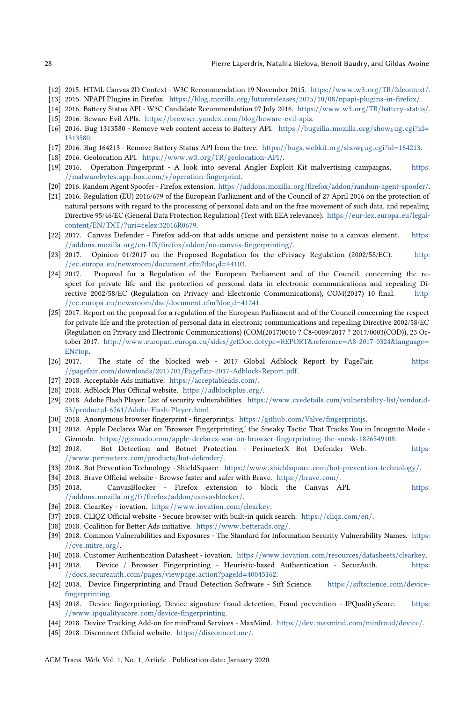- <span id="page-27-0"></span>[12] 2015. HTML Canvas 2D Context - W3C Recommendation 19 November 2015. https://www.w3.org/TR/[2dcontext](https://www.w3.org/TR/2dcontext/)/.
- <span id="page-27-7"></span>[13] 2015. NPAPI Plugins in Firefox. https://blog.mozilla.org/futurereleases/2015/10/08/[npapi-plugins-in-firefox](https://blog.mozilla.org/futurereleases/2015/10/08/npapi-plugins-in-firefox/)/.
- <span id="page-27-6"></span><span id="page-27-3"></span>[14] 2016. Battery Status API - W3C Candidate Recommendation 07 July 2016. https://www.w3.org/TR/[battery-status](https://www.w3.org/TR/battery-status/)/. [15] 2016. Beware Evil APIs. https://browser.yandex.com/blog/[beware-evil-apis.](https://browser.yandex.com/blog/beware-evil-apis)
- <span id="page-27-4"></span>[16] 2016. Bug 1313580 - Remove web content access to Battery API. https://[bugzilla](https://bugzilla.mozilla.org/show_bug.cgi?id=1313580).mozilla.org/show<sub>b</sub>ug.cgi?id= [1313580.](https://bugzilla.mozilla.org/show_bug.cgi?id=1313580)
- <span id="page-27-5"></span>[17] 2016. Bug 164213 - Remove Battery Status API from the tree. https://bugs.webkit.org/showbug.cgi?id=[164213.](https://bugs.webkit.org/show_bug.cgi?id=164213)
- <span id="page-27-1"></span>[18] 2016. Geolocation API. https://www.w3.org/TR/[geolocation-API](https://www.w3.org/TR/geolocation-API/)/.
- <span id="page-27-18"></span>[19] 2016. Operation Fingerprint - A look into several Angler Exploit Kit malvertising campaigns. [https:](https://malwarebytes.app.box.com/v/operation-fingerprint) //malwarebytes.app.box.com/v/[operation-fingerprint.](https://malwarebytes.app.box.com/v/operation-fingerprint)
- <span id="page-27-8"></span>[20] 2016. Random Agent Spoofer - Firefox extension. https://addons.mozilla.org/firefox/addon/[random-agent-spoofer](https://addons.mozilla.org/firefox/addon/random-agent-spoofer/)/.
- <span id="page-27-30"></span>[21] 2016. Regulation (EU) 2016/679 of the European Parliament and of the Council of 27 April 2016 on the protection of natural persons with regard to the processing of personal data and on the free movement of such data, and repealing Directive 95/46/EC (General Data Protection Regulation) (Text with EEA relevance). https://[eur-lex](https://eur-lex.europa.eu/legal-content/EN/TXT/?uri=celex:32016R0679).europa.eu/legalcontent/EN/TXT/?uri=[celex:32016R0679.](https://eur-lex.europa.eu/legal-content/EN/TXT/?uri=celex:32016R0679)
- <span id="page-27-10"></span>[22] 2017. Canvas Defender - Firefox add-on that adds unique and persistent noise to a canvas element. [https:](https://addons.mozilla.org/en-US/firefox/addon/no-canvas-fingerprinting/) //addons.mozilla.org/en-US/firefox/addon/[no-canvas-fingerprinting](https://addons.mozilla.org/en-US/firefox/addon/no-canvas-fingerprinting/)/.
- <span id="page-27-33"></span>[23] 2017. Opinion 01/2017 on the Proposed Regulation for the ePrivacy Regulation (2002/58/EC). [http:](http://ec.europa.eu/newsroom/document.cfm?doc_id=44103)  $//$ ec.europa.eu/[newsroom](http://ec.europa.eu/newsroom/document.cfm?doc_id=44103)/document.cfm?doc<sub>i</sub>d=44103.<br>[24] 2017. Proposal for a Regulation of the European
- <span id="page-27-31"></span>Proposal for a Regulation of the European Parliament and of the Council, concerning the respect for private life and the protection of personal data in electronic communications and repealing Directive 2002/58/EC (Regulation on Privacy and Electronic Communications), COM(2017) 10 final. [http:](http://ec.europa.eu/newsroom/dae/document.cfm?doc_id=41241) //ec.europa.eu/[newsroom](http://ec.europa.eu/newsroom/dae/document.cfm?doc_id=41241)/dae/document.cfm?docid=41241.
- <span id="page-27-32"></span>[25] 2017. Report on the proposal for a regulation of the European Parliament and of the Council concerning the respect for private life and the protection of personal data in electronic communications and repealing Directive 2002/58/EC (Regulation on Privacy and Electronic Communications) (COM(2017)0010 ? C8-0009/2017 ? 2017/0003(COD)), 23 October 2017. http://www.europarl.europa.eu/sides/getDoc.dotype=REPORT&reference=[A8-2017-0324&language](http://www.europarl.europa.eu/sides/getDoc.dotype=REPORT&reference=A8-2017-0324&language=EN#top)<sup>=</sup> [EN#top.](http://www.europarl.europa.eu/sides/getDoc.dotype=REPORT&reference=A8-2017-0324&language=EN#top)
- <span id="page-27-27"></span>[26] 2017. The state of the blocked web - 2017 Global Adblock Report by PageFair. [https:](https://pagefair.com/downloads/2017/01/PageFair-2017-Adblock-Report.pdf) //pagefair.com/downloads/2017/01/[PageFair-2017-Adblock-Report](https://pagefair.com/downloads/2017/01/PageFair-2017-Adblock-Report.pdf).pdf.
- <span id="page-27-29"></span>[27] 2018. Acceptable Ads initiative. https://[acceptableads](https://acceptableads.com/).com/.
- <span id="page-27-11"></span>[28] 2018. Adblock Plus Official website. https://[adblockplus](https://adblockplus.org/).org/.
- <span id="page-27-17"></span>[29] 2018. Adobe Flash Player: List of security vulnerabilities. https://www.cvedetails.com/[vulnerability-list](https://www.cvedetails.com/vulnerability-list/vendor_id-53/product_id-6761/Adobe-Flash-Player.html)/vendorid-<sup>53</sup>/productid-6761/[Adobe-Flash-Player](https://www.cvedetails.com/vulnerability-list/vendor_id-53/product_id-6761/Adobe-Flash-Player.html).html.
- <span id="page-27-2"></span>[30] 2018. Anonymous browser fingerprint - fingerprintjs. https://github.com/Valve/[fingerprintjs.](https://github.com/Valve/fingerprintjs)
- <span id="page-27-15"></span>[31] 2018. Apple Declares War on 'Browser Fingerprinting,' the Sneaky Tactic That Tracks You in Incognito Mode Gizmodo. https://gizmodo.com/[apple-declares-war-on-browser-fingerprinting-the-sneak-1826549108.](https://gizmodo.com/apple-declares-war-on-browser-fingerprinting-the-sneak-1826549108)<br>[32] 2018. Bot Detection and Botnet Protection - PerimeterX Bot Defender Web.
- <span id="page-27-20"></span>Bot Detection and Botnet Protection - PerimeterX Bot Defender Web. [https:](https://www.perimeterx.com/products/bot-defender/) //www.perimeterx.com/products/[bot-defender](https://www.perimeterx.com/products/bot-defender/)/.
- <span id="page-27-22"></span>[33] 2018. Bot Prevention Technology - ShieldSquare. https://www.shieldsquare.com/[bot-prevention-technology](https://www.shieldsquare.com/bot-prevention-technology/)/.
- <span id="page-27-14"></span>[34] 2018. Brave Official website - Browse faster and safer with Brave. [https:](https://brave.com/)//brave.com/.<br>[35] 2018. CanvasBlocker - Firefox extension to block the Canvas A
- <span id="page-27-13"></span>[35] 2018. CanvasBlocker - Firefox extension to block the Canvas API. [https:](https://addons.mozilla.org/fr/firefox/addon/canvasblocker/) //addons.mozilla.org/fr/firefox/addon/[canvasblocker](https://addons.mozilla.org/fr/firefox/addon/canvasblocker/)/.
- <span id="page-27-25"></span>[36] 2018. ClearKey - iovation. https://www.iovation.com/[clearkey.](https://www.iovation.com/clearkey)
- <span id="page-27-9"></span>[37] 2018. CLIQZ Official website - Secure browser with built-in quick search. [https:](https://cliqz.com/en/)//cliqz.com/en/.
- <span id="page-27-28"></span>[38] 2018. Coalition for Better Ads initiative. https://www.[betterads](https://www.betterads.org/).org/.
- <span id="page-27-16"></span>[39] 2018. Common Vulnerabilities and Exposures - The Standard for Information Security Vulnerability Names. [https:](https://cve.mitre.org/) //cve.[mitre](https://cve.mitre.org/).org/.
- <span id="page-27-24"></span>
- <span id="page-27-26"></span>[40] 2018. Customer Authentication Datasheet - iovation. https://www.iovation.com/resources/[datasheets](https://www.iovation.com/resources/datasheets/clearkey)/clearkey. Device / Browser Fingerprinting - Heuristic-based Authentication - SecurAuth. //docs.secureauth.com/pages/viewpage.[action?pageId](https://docs.secureauth.com/pages/viewpage.action?pageId=40045162)=40045162.
- <span id="page-27-23"></span>[42] 2018. Device Fingerprinting and Fraud Detection Software - Sift Science. https://[siftscience](https://siftscience.com/device-fingerprinting).com/device[fingerprinting.](https://siftscience.com/device-fingerprinting)
- <span id="page-27-21"></span>[43] 2018. Device fingerprinting, Device signature fraud detection, Fraud prevention - IPQualityScore. [https:](https://www.ipqualityscore.com/device-fingerprinting) //www.ipqualityscore.com/[device-fingerprinting.](https://www.ipqualityscore.com/device-fingerprinting)
- <span id="page-27-19"></span>[44] 2018. Device Tracking Add-on for minFraud Services - MaxMind. https://dev.[maxmind](https://dev.maxmind.com/minfraud/device/).com/minfraud/device/.
- <span id="page-27-12"></span>[45] 2018. Disconnect Official website. https://[disconnect](https://disconnect.me/).me/.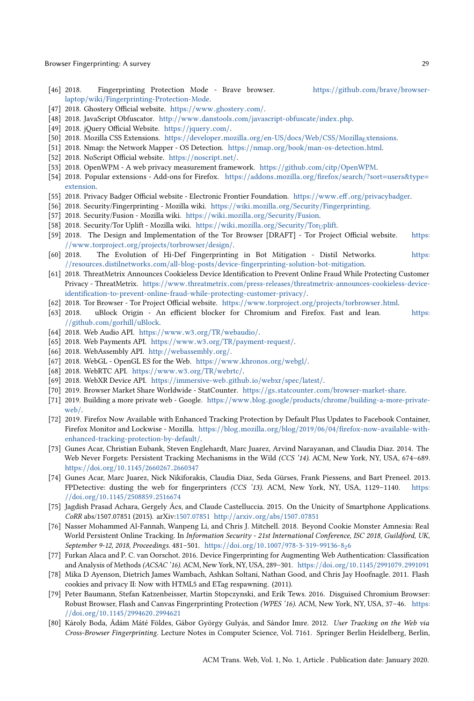- <span id="page-28-26"></span>[46] 2018. Fingerprinting Protection Mode - Brave browser. https://github.com/brave/[browser](https://github.com/brave/browser-laptop/wiki/Fingerprinting-Protection-Mode)laptop/wiki/[Fingerprinting-Protection-Mode.](https://github.com/brave/browser-laptop/wiki/Fingerprinting-Protection-Mode)
- <span id="page-28-19"></span>[47] 2018. Ghostery Official website. https://www.[ghostery](https://www.ghostery.com/).com/.
- <span id="page-28-14"></span>[48] 2018. JavaScript Obfuscator. http://www.danstools.com/[javascript-obfuscate](http://www.danstools.com/javascript-obfuscate/index.php)/index.php.
- <span id="page-28-13"></span>[49] 2018. jQuery Official Website. https://[jquery](https://jquery.com/).com/.
- <span id="page-28-9"></span>[50] 2018. Mozilla CSS E[xtensions.](https://developer.mozilla.org/en-US/docs/Web/CSS/Mozilla_Extensions) https://developer.mozilla.org/en-US/docs/Web/CSS/MozillaExtensions.
- <span id="page-28-0"></span>[51] 2018. Nmap: the Network Mapper - OS Detection. https://nmap.org/book/[man-os-detection](https://nmap.org/book/man-os-detection.html).html.
- <span id="page-28-18"></span>[52] 2018. NoScript Official website. https://[noscript](https://noscript.net/).net/.
- <span id="page-28-12"></span>[53] 2018. OpenWPM - A web privacy measurement framework. https://github.com/citp/[OpenWPM.](https://github.com/citp/OpenWPM)
- <span id="page-28-7"></span>[54] 2018. Popular extensions - Add-ons for Firefox. https://addons.mozilla.org/firefox/search/?sort=[users&type](https://addons.mozilla.org/firefox/search/?sort=users&type=extension)<sup>=</sup> [extension.](https://addons.mozilla.org/firefox/search/?sort=users&type=extension)
- <span id="page-28-21"></span>[55] 2018. Privacy Badger Official website - Electronic Frontier Foundation. https://www.eff.org/[privacybadger.](https://www.eff.org/privacybadger)
- <span id="page-28-22"></span>[56] 2018. Security/Fingerprinting - Mozilla wiki. https://wiki.mozilla.org/Security/[Fingerprinting.](https://wiki.mozilla.org/Security/Fingerprinting)
- <span id="page-28-25"></span>[57] 2018. Security/Fusion - Mozilla wiki. https://wiki.mozilla.org/[Security](https://wiki.mozilla.org/Security/Fusion)/Fusion.
- <span id="page-28-23"></span>[58] 2018. [Security](https://wiki.mozilla.org/Security/Tor_Uplift)/Tor Uplift - Mozilla wiki. https://wiki.mozilla.org/Security/Toruplift.
- <span id="page-28-24"></span>[59] 2018. The Design and Implementation of the Tor Browser [DRAFT] - Tor Project Official website. [https:](https://www.torproject.org/projects/torbrowser/design/) //www.torproject.org/projects/[torbrowser](https://www.torproject.org/projects/torbrowser/design/)/design/.
- <span id="page-28-32"></span>The Evolution of Hi-Def Fingerprinting in Bot Mitigation - Distil Networks. [https:](https://resources.distilnetworks.com/all-blog-posts/device-fingerprinting-solution-bot-mitigation) //resources.distilnetworks.com/all-blog-posts/[device-fingerprinting-solution-bot-mitigation.](https://resources.distilnetworks.com/all-blog-posts/device-fingerprinting-solution-bot-mitigation)
- <span id="page-28-31"></span>[61] 2018. ThreatMetrix Announces Cookieless Device Identification to Prevent Online Fraud While Protecting Customer Privacy - ThreatMetrix. https://www.threatmetrix.com/press-releases/[threatmetrix-announces-cookieless-device](https://www.threatmetrix.com/press-releases/threatmetrix-announces-cookieless-device-identification-to-prevent-online-fraud-while-protecting-customer-privacy/)[identification-to-prevent-online-fraud-while-protecting-customer-privacy](https://www.threatmetrix.com/press-releases/threatmetrix-announces-cookieless-device-identification-to-prevent-online-fraud-while-protecting-customer-privacy/)/.
- <span id="page-28-17"></span>[62] 2018. Tor Browser - Tor Project Official website. https://www.torproject.org/projects/[torbrowser](https://www.torproject.org/projects/torbrowser.html).html.<br>[63] 2018. uBlock Origin - An efficient blocker for Chromium and Firefox. Fast and lean.
- <span id="page-28-20"></span>uBlock Origin - An efficient blocker for Chromium and Firefox. Fast and lean. [https:](https://github.com/gorhill/uBlock) //github.com/gorhill/[uBlock.](https://github.com/gorhill/uBlock)
- <span id="page-28-2"></span>[64] 2018. Web Audio API. https://www.w3.org/TR/[webaudio](https://www.w3.org/TR/webaudio/)/.
- <span id="page-28-5"></span>[65] 2018. Web Payments API. https://www.w3.org/TR/[payment-request](https://www.w3.org/TR/payment-request/)/.
- <span id="page-28-4"></span>[66] 2018. WebAssembly API. http://[webassembly](http://webassembly.org/).org/.
- <span id="page-28-1"></span>[67] 2018. WebGL - OpenGL ES for the Web. https://www.[khronos](https://www.khronos.org/webgl/).org/webgl/.
- <span id="page-28-3"></span>[68] 2018. WebRTC API. https://www.w3.org/TR/[webrtc](https://www.w3.org/TR/webrtc/)/.
- <span id="page-28-6"></span>[69] 2018. WebXR Device API. https://[immersive-web](https://immersive-web.github.io/webxr/spec/latest/).github.io/webxr/spec/latest/.
- <span id="page-28-28"></span>[70] 2019. Browser Market Share Worldwide - StatCounter. https://gs.statcounter.com/[browser-market-share.](https://gs.statcounter.com/browser-market-share)
- <span id="page-28-29"></span>[71] 2019. Building a more private web - Google. https://www.blog.google/products/chrome/[building-a-more-private](https://www.blog.google/products/chrome/building-a-more-private-web/)[web](https://www.blog.google/products/chrome/building-a-more-private-web/)/.
- <span id="page-28-27"></span>[72] 2019. Firefox Now Available with Enhanced Tracking Protection by Default Plus Updates to Facebook Container, Firefox Monitor and Lockwise - Mozilla. https://blog.mozilla.org/blog/2019/06/04/[firefox-now-available-with](https://blog.mozilla.org/blog/2019/06/04/firefox-now-available-with-enhanced-tracking-protection-by-default/)[enhanced-tracking-protection-by-default](https://blog.mozilla.org/blog/2019/06/04/firefox-now-available-with-enhanced-tracking-protection-by-default/)/.
- <span id="page-28-8"></span>[73] Gunes Acar, Christian Eubank, Steven Englehardt, Marc Juarez, Arvind Narayanan, and Claudia Diaz. 2014. The Web Never Forgets: Persistent Tracking Mechanisms in the Wild (CCS '14). ACM, New York, NY, USA, 674–689. https://doi.org/10.1145/[2660267](https://doi.org/10.1145/2660267.2660347).<sup>2660347</sup>
- <span id="page-28-10"></span>[74] Gunes Acar, Marc Juarez, Nick Nikiforakis, Claudia Diaz, Seda Gürses, Frank Piessens, and Bart Preneel. 2013. FPDetective: dusting the web for fingerprinters (CCS '13). ACM, New York, NY, USA, 1129-1140. [https:](https://doi.org/10.1145/2508859.2516674) //doi.org/10.1145/[2508859](https://doi.org/10.1145/2508859.2516674).<sup>2516674</sup>
- <span id="page-28-34"></span>[75] Jagdish Prasad Achara, Gergely Ács, and Claude Castelluccia. 2015. On the Unicity of Smartphone Applications. CoRR abs/1507.07851 (2015). arXiv[:1507.07851](http://arxiv.org/abs/1507.07851) http://arxiv.org/abs/1507.[07851](http://arxiv.org/abs/1507.07851)
- <span id="page-28-11"></span>[76] Nasser Mohammed Al-Fannah, Wanpeng Li, and Chris J. Mitchell. 2018. Beyond Cookie Monster Amnesia: Real World Persistent Online Tracking. In Information Security - 21st International Conference, ISC 2018, Guildford, UK, September 9-12, 2018, Proceedings. 481-501. https://doi.org/10.1007/[978-3-319-99136-8](https://doi.org/10.1007/978-3-319-99136-8_26)26
- <span id="page-28-33"></span>[77] Furkan Alaca and P. C. van Oorschot. 2016. Device Fingerprinting for Augmenting Web Authentication: Classification and Analysis of Methods (ACSAC '16). ACM, New York, NY, USA, 289–301. https://doi.org/10.1145/[2991079](https://doi.org/10.1145/2991079.2991091).<sup>2991091</sup>
- <span id="page-28-30"></span>[78] Mika D Ayenson, Dietrich James Wambach, Ashkan Soltani, Nathan Good, and Chris Jay Hoofnagle. 2011. Flash cookies and privacy II: Now with HTML5 and ETag respawning. (2011).
- <span id="page-28-15"></span>[79] Peter Baumann, Stefan Katzenbeisser, Martin Stopczynski, and Erik Tews. 2016. Disguised Chromium Browser: Robust Browser, Flash and Canvas Fingerprinting Protection (WPES '16). ACM, New York, NY, USA, 37–46. [https:](https://doi.org/10.1145/2994620.2994621) //doi.org/10.1145/[2994620](https://doi.org/10.1145/2994620.2994621).<sup>2994621</sup>
- <span id="page-28-16"></span>[80] Károly Boda, Ádám Máté Földes, Gábor György Gulyás, and Sándor Imre. 2012. User Tracking on the Web via Cross-Browser Fingerprinting. Lecture Notes in Computer Science, Vol. 7161. Springer Berlin Heidelberg, Berlin,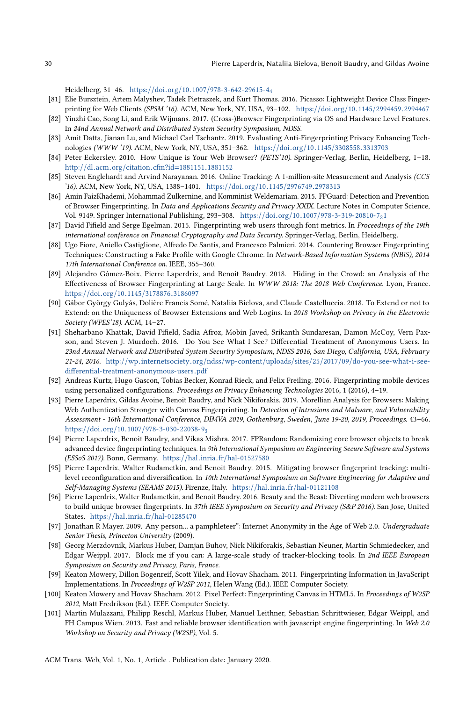Heidelberg, 31–46. https://doi.org/10.1007/[978-3-642-29615-4](https://doi.org/10.1007/978-3-642-29615-4_4)<sup>4</sup>

- <span id="page-29-19"></span>[81] Elie Bursztein, Artem Malyshev, Tadek Pietraszek, and Kurt Thomas. 2016. Picasso: Lightweight Device Class Fingerprinting for Web Clients (SPSM '16). ACM, New York, NY, USA, 93–102. https://doi.org/10.1145/[2994459](https://doi.org/10.1145/2994459.2994467).<sup>2994467</sup>
- <span id="page-29-4"></span>[82] Yinzhi Cao, Song Li, and Erik Wijmans. 2017. (Cross-)Browser Fingerprinting via OS and Hardware Level Features. In 24nd Annual Network and Distributed System Security Symposium, NDSS.
- <span id="page-29-18"></span>[83] Amit Datta, Jianan Lu, and Michael Carl Tschantz. 2019. Evaluating Anti-Fingerprinting Privacy Enhancing Technologies (WWW '19). ACM, New York, NY, USA, 351–362. https://doi.org/10.1145/[3308558](https://doi.org/10.1145/3308558.3313703).<sup>3313703</sup>
- <span id="page-29-2"></span>[84] Peter Eckersley. 2010. How Unique is Your Web Browser? (PETS'10). Springer-Verlag, Berlin, Heidelberg, 1–18. http://dl.acm.org/citation.cfm?id=[1881151](http://dl.acm.org/citation.cfm?id=1881151.1881152).<sup>1881152</sup>
- <span id="page-29-5"></span>[85] Steven Englehardt and Arvind Narayanan. 2016. Online Tracking: A 1-million-site Measurement and Analysis (CCS '16). ACM, New York, NY, USA, 1388–1401. https://doi.org/10.1145/[2976749](https://doi.org/10.1145/2976749.2978313).<sup>2978313</sup>
- <span id="page-29-12"></span>[86] Amin FaizKhademi, Mohammad Zulkernine, and Komminist Weldemariam. 2015. FPGuard: Detection and Prevention of Browser Fingerprinting. In Data and Applications Security and Privacy XXIX. Lecture Notes in Computer Science, Vol. 9149. Springer International Publishing, 293–308. https://doi.org/10.1007/[978-3-319-20810-7](https://doi.org/10.1007/978-3-319-20810-7_21)2<sup>1</sup>
- <span id="page-29-8"></span>[87] David Fifield and Serge Egelman. 2015. Fingerprinting web users through font metrics. In Proceedings of the 19th international conference on Financial Cryptography and Data Security. Springer-Verlag, Berlin, Heidelberg.
- <span id="page-29-13"></span>[88] Ugo Fiore, Aniello Castiglione, Alfredo De Santis, and Francesco Palmieri. 2014. Countering Browser Fingerprinting Techniques: Constructing a Fake Profile with Google Chrome. In Network-Based Information Systems (NBiS), 2014 17th International Conference on. IEEE, 355–360.
- <span id="page-29-11"></span>[89] Alejandro Gómez-Boix, Pierre Laperdrix, and Benoit Baudry. 2018. Hiding in the Crowd: an Analysis of the Effectiveness of Browser Fingerprinting at Large Scale. In WWW 2018: The 2018 Web Conference. Lyon, France. https://doi.org/10.1145/[3178876](https://doi.org/10.1145/3178876.3186097).<sup>3186097</sup>
- <span id="page-29-6"></span>[90] Gábor György Gulyás, Dolière Francis Somé, Nataliia Bielova, and Claude Castelluccia. 2018. To Extend or not to Extend: on the Uniqueness of Browser Extensions and Web Logins. In 2018 Workshop on Privacy in the Electronic Society (WPES'18). ACM, 14–27.
- <span id="page-29-16"></span>[91] Sheharbano Khattak, David Fifield, Sadia Afroz, Mobin Javed, Srikanth Sundaresan, Damon McCoy, Vern Paxson, and Steven J. Murdoch. 2016. Do You See What I See? Differential Treatment of Anonymous Users. In 23nd Annual Network and Distributed System Security Symposium, NDSS 2016, San Diego, California, USA, February 21-24, 2016. http://wp.internetsociety.org/ndss/wp-content/uploads/sites/25/2017/09/[do-you-see-what-i-see](http://wp.internetsociety.org/ndss/wp-content/uploads/sites/25/2017/09/do-you-see-what-i-see-differential-treatment-anonymous-users.pdf)[differential-treatment-anonymous-users](http://wp.internetsociety.org/ndss/wp-content/uploads/sites/25/2017/09/do-you-see-what-i-see-differential-treatment-anonymous-users.pdf).pdf
- <span id="page-29-0"></span>[92] Andreas Kurtz, Hugo Gascon, Tobias Becker, Konrad Rieck, and Felix Freiling. 2016. Fingerprinting mobile devices using personalized configurations. Proceedings on Privacy Enhancing Technologies 2016, 1 (2016), 4–19.
- <span id="page-29-20"></span>[93] Pierre Laperdrix, Gildas Avoine, Benoit Baudry, and Nick Nikiforakis. 2019. Morellian Analysis for Browsers: Making Web Authentication Stronger with Canvas Fingerprinting. In Detection of Intrusions and Malware, and Vulnerability Assessment - 16th International Conference, DIMVA 2019, Gothenburg, Sweden, June 19-20, 2019, Proceedings. 43–66. https://doi.org/10.1007/[978-3-030-22038-9](https://doi.org/10.1007/978-3-030-22038-9_3)<sup>3</sup>
- <span id="page-29-15"></span>[94] Pierre Laperdrix, Benoit Baudry, and Vikas Mishra. 2017. FPRandom: Randomizing core browser objects to break advanced device fingerprinting techniques. In 9th International Symposium on Engineering Secure Software and Systems (ESSoS 2017). Bonn, Germany. https://hal.inria.fr/[hal-01527580](https://hal.inria.fr/hal-01527580)
- <span id="page-29-14"></span>[95] Pierre Laperdrix, Walter Rudametkin, and Benoit Baudry. 2015. Mitigating browser fingerprint tracking: multilevel reconfiguration and diversification. In 10th International Symposium on Software Engineering for Adaptive and Self-Managing Systems (SEAMS 2015). Firenze, Italy. https://hal.inria.fr/[hal-01121108](https://hal.inria.fr/hal-01121108)
- <span id="page-29-10"></span>[96] Pierre Laperdrix, Walter Rudametkin, and Benoit Baudry. 2016. Beauty and the Beast: Diverting modern web browsers to build unique browser fingerprints. In 37th IEEE Symposium on Security and Privacy (S&P 2016). San Jose, United States. https://hal.inria.fr/[hal-01285470](https://hal.inria.fr/hal-01285470)
- <span id="page-29-1"></span>[97] Jonathan R Mayer. 2009. Any person... a pamphleteer": Internet Anonymity in the Age of Web 2.0. Undergraduate Senior Thesis, Princeton University (2009).
- <span id="page-29-17"></span>[98] Georg Merzdovnik, Markus Huber, Damjan Buhov, Nick Nikiforakis, Sebastian Neuner, Martin Schmiedecker, and Edgar Weippl. 2017. Block me if you can: A large-scale study of tracker-blocking tools. In 2nd IEEE European Symposium on Security and Privacy, Paris, France.
- <span id="page-29-9"></span>[99] Keaton Mowery, Dillon Bogenreif, Scott Yilek, and Hovav Shacham. 2011. Fingerprinting Information in JavaScript Implementations. In Proceedings of W2SP 2011, Helen Wang (Ed.). IEEE Computer Society.
- <span id="page-29-3"></span>[100] Keaton Mowery and Hovav Shacham. 2012. Pixel Perfect: Fingerprinting Canvas in HTML5. In Proceedings of W2SP 2012, Matt Fredrikson (Ed.). IEEE Computer Society.
- <span id="page-29-7"></span>[101] Martin Mulazzani, Philipp Reschl, Markus Huber, Manuel Leithner, Sebastian Schrittwieser, Edgar Weippl, and FH Campus Wien. 2013. Fast and reliable browser identification with javascript engine fingerprinting. In Web 2.0 Workshop on Security and Privacy (W2SP), Vol. 5.

ACM Trans. Web, Vol. 1, No. 1, Article . Publication date: January 2020.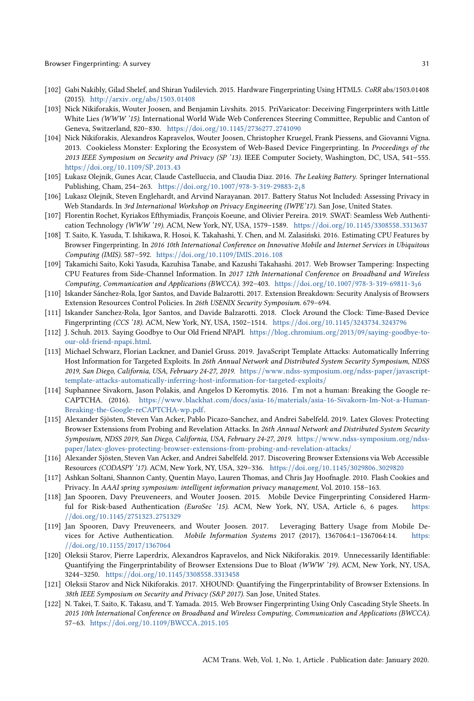- <span id="page-30-7"></span>[102] Gabi Nakibly, Gilad Shelef, and Shiran Yudilevich. 2015. Hardware Fingerprinting Using HTML5. CoRR abs/1503.01408 (2015). http://arxiv.org/abs/1503.[01408](http://arxiv.org/abs/1503.01408)
- <span id="page-30-14"></span>[103] Nick Nikiforakis, Wouter Joosen, and Benjamin Livshits. 2015. PriVaricator: Deceiving Fingerprinters with Little White Lies (WWW '15). International World Wide Web Conferences Steering Committee, Republic and Canton of Geneva, Switzerland, 820–830. https://doi.org/10.1145/[2736277](https://doi.org/10.1145/2736277.2741090).<sup>2741090</sup>
- <span id="page-30-4"></span>[104] Nick Nikiforakis, Alexandros Kapravelos, Wouter Joosen, Christopher Kruegel, Frank Piessens, and Giovanni Vigna. 2013. Cookieless Monster: Exploring the Ecosystem of Web-Based Device Fingerprinting. In Proceedings of the 2013 IEEE Symposium on Security and Privacy (SP '13). IEEE Computer Society, Washington, DC, USA, 541–555. [https:](https://doi.org/10.1109/SP.2013.43)//doi.org/10.1109/SP.2013.<sup>43</sup>
- <span id="page-30-11"></span>[105] Łukasz Olejnik, Gunes Acar, Claude Castelluccia, and Claudia Diaz. 2016. The Leaking Battery. Springer International Publishing, Cham, 254–263. https://doi.org/10.1007/[978-3-319-29883-2](https://doi.org/10.1007/978-3-319-29883-2_18)1<sup>8</sup>
- <span id="page-30-12"></span>[106] Lukasz Olejnik, Steven Englehardt, and Arvind Narayanan. 2017. Battery Status Not Included: Assessing Privacy in Web Standards. In 3rd International Workshop on Privacy Engineering (IWPE'17). San Jose, United States.
- <span id="page-30-20"></span>[107] Florentin Rochet, Kyriakos Efthymiadis, François Koeune, and Olivier Pereira. 2019. SWAT: Seamless Web Authentication Technology (WWW '19). ACM, New York, NY, USA, 1579–1589. https://doi.org/10.1145/[3308558](https://doi.org/10.1145/3308558.3313637).<sup>3313637</sup>
- <span id="page-30-8"></span>[108] T. Saito, K. Yasuda, T. Ishikawa, R. Hosoi, K. Takahashi, Y. Chen, and M. Zalasiński. 2016. Estimating CPU Features by Browser Fingerprinting. In 2016 10th International Conference on Innovative Mobile and Internet Services in Ubiquitous Computing (IMIS). 587–592. [https:](https://doi.org/10.1109/IMIS.2016.108)//doi.org/10.1109/IMIS.2016.<sup>108</sup>
- <span id="page-30-9"></span>[109] Takamichi Saito, Koki Yasuda, Kazuhisa Tanabe, and Kazushi Takahashi. 2017. Web Browser Tampering: Inspecting CPU Features from Side-Channel Information. In 2017 12th International Conference on Broadband and Wireless Computing, Communication and Applications (BWCCA). 392–403. https://doi.org/10.1007/[978-3-319-69811-3](https://doi.org/10.1007/978-3-319-69811-3_36)3<sup>6</sup>
- <span id="page-30-2"></span>[110] Iskander Sánchez-Rola, Igor Santos, and Davide Balzarotti. 2017. Extension Breakdown: Security Analysis of Browsers Extension Resources Control Policies. In 26th USENIX Security Symposium. 679-694.
- <span id="page-30-10"></span>[111] Iskander Sanchez-Rola, Igor Santos, and Davide Balzarotti. 2018. Clock Around the Clock: Time-Based Device Fingerprinting (CCS '18). ACM, New York, NY, USA, 1502–1514. https://doi.org/10.1145/[3243734](https://doi.org/10.1145/3243734.3243796).<sup>3243796</sup>
- <span id="page-30-13"></span>[112] J. Schuh. 2013. Saying Goodbye to Our Old Friend NPAPI. https://blog.chromium.org/2013/09/[saying-goodbye-to](https://blog.chromium.org/2013/09/saying-goodbye-to-our-old-friend-npapi.html)[our-old-friend-npapi](https://blog.chromium.org/2013/09/saying-goodbye-to-our-old-friend-npapi.html).html.
- <span id="page-30-5"></span>[113] Michael Schwarz, Florian Lackner, and Daniel Gruss. 2019. JavaScript Template Attacks: Automatically Inferring Host Information for Targeted Exploits. In 26th Annual Network and Distributed System Security Symposium, NDSS 2019, San Diego, California, USA, February 24-27, 2019. https://www.[ndss-symposium](https://www.ndss-symposium.org/ndss-paper/javascript-template-attacks-automatically-inferring-host-information-for-targeted-exploits/).org/ndss-paper/javascript[template-attacks-automatically-inferring-host-information-for-targeted-exploits](https://www.ndss-symposium.org/ndss-paper/javascript-template-attacks-automatically-inferring-host-information-for-targeted-exploits/)/
- <span id="page-30-17"></span>[114] Suphannee Sivakorn, Jason Polakis, and Angelos D Keromytis. 2016. I'm not a human: Breaking the Google re-CAPTCHA. (2016). https://www.blackhat.com/docs/asia-16/materials/[asia-16-Sivakorn-Im-Not-a-Human-](https://www.blackhat.com/docs/asia-16/materials/asia-16-Sivakorn-Im-Not-a-Human-Breaking-the-Google-reCAPTCHA-wp.pdf)[Breaking-the-Google-reCAPTCHA-wp](https://www.blackhat.com/docs/asia-16/materials/asia-16-Sivakorn-Im-Not-a-Human-Breaking-the-Google-reCAPTCHA-wp.pdf).pdf.
- <span id="page-30-15"></span>[115] Alexander Sjösten, Steven Van Acker, Pablo Picazo-Sanchez, and Andrei Sabelfeld. 2019. Latex Gloves: Protecting Browser Extensions from Probing and Revelation Attacks. In 26th Annual Network and Distributed System Security Symposium, NDSS 2019, San Diego, California, USA, February 24-27, 2019. https://www.[ndss-symposium](https://www.ndss-symposium.org/ndss-paper/latex-gloves-protecting-browser-extensions-from-probing-and-revelation-attacks/).org/ndsspaper/[latex-gloves-protecting-browser-extensions-from-probing-and-revelation-attacks](https://www.ndss-symposium.org/ndss-paper/latex-gloves-protecting-browser-extensions-from-probing-and-revelation-attacks/)/
- <span id="page-30-0"></span>[116] Alexander Sjösten, Steven Van Acker, and Andrei Sabelfeld. 2017. Discovering Browser Extensions via Web Accessible Resources (CODASPY '17). ACM, New York, NY, USA, 329–336. https://doi.org/10.1145/[3029806](https://doi.org/10.1145/3029806.3029820).<sup>3029820</sup>
- <span id="page-30-16"></span>[117] Ashkan Soltani, Shannon Canty, Quentin Mayo, Lauren Thomas, and Chris Jay Hoofnagle. 2010. Flash Cookies and Privacy. In AAAI spring symposium: intelligent information privacy management, Vol. 2010. 158–163.
- <span id="page-30-18"></span>[118] Jan Spooren, Davy Preuveneers, and Wouter Joosen. 2015. Mobile Device Fingerprinting Considered Harmful for Risk-based Authentication (EuroSec '15). ACM, New York, NY, USA, Article 6, 6 pages. [https:](https://doi.org/10.1145/2751323.2751329) //doi.org/10.1145/[2751323](https://doi.org/10.1145/2751323.2751329).<sup>2751329</sup>
- <span id="page-30-19"></span>[119] Jan Spooren, Davy Preuveneers, and Wouter Joosen. 2017. Leveraging Battery Usage from Mobile Devices for Active Authentication. Mobile Information Systems 2017 (2017), 1367064:1–1367064:14. [https:](https://doi.org/10.1155/2017/1367064) //doi.org/10.1155/2017/[1367064](https://doi.org/10.1155/2017/1367064)
- <span id="page-30-3"></span>[120] Oleksii Starov, Pierre Laperdrix, Alexandros Kapravelos, and Nick Nikiforakis. 2019. Unnecessarily Identifiable: Quantifying the Fingerprintability of Browser Extensions Due to Bloat (WWW '19). ACM, New York, NY, USA, 3244–3250. https://doi.org/10.1145/[3308558](https://doi.org/10.1145/3308558.3313458).<sup>3313458</sup>
- <span id="page-30-1"></span>[121] Oleksii Starov and Nick Nikiforakis. 2017. XHOUND: Quantifying the Fingerprintability of Browser Extensions. In 38th IEEE Symposium on Security and Privacy (S&P 2017). San Jose, United States.
- <span id="page-30-6"></span>[122] N. Takei, T. Saito, K. Takasu, and T. Yamada. 2015. Web Browser Fingerprinting Using Only Cascading Style Sheets. In 2015 10th International Conference on Broadband and Wireless Computing, Communication and Applications (BWCCA). 57–63. https://doi.org/10.1109/[BWCCA](https://doi.org/10.1109/BWCCA.2015.105).2015.<sup>105</sup>